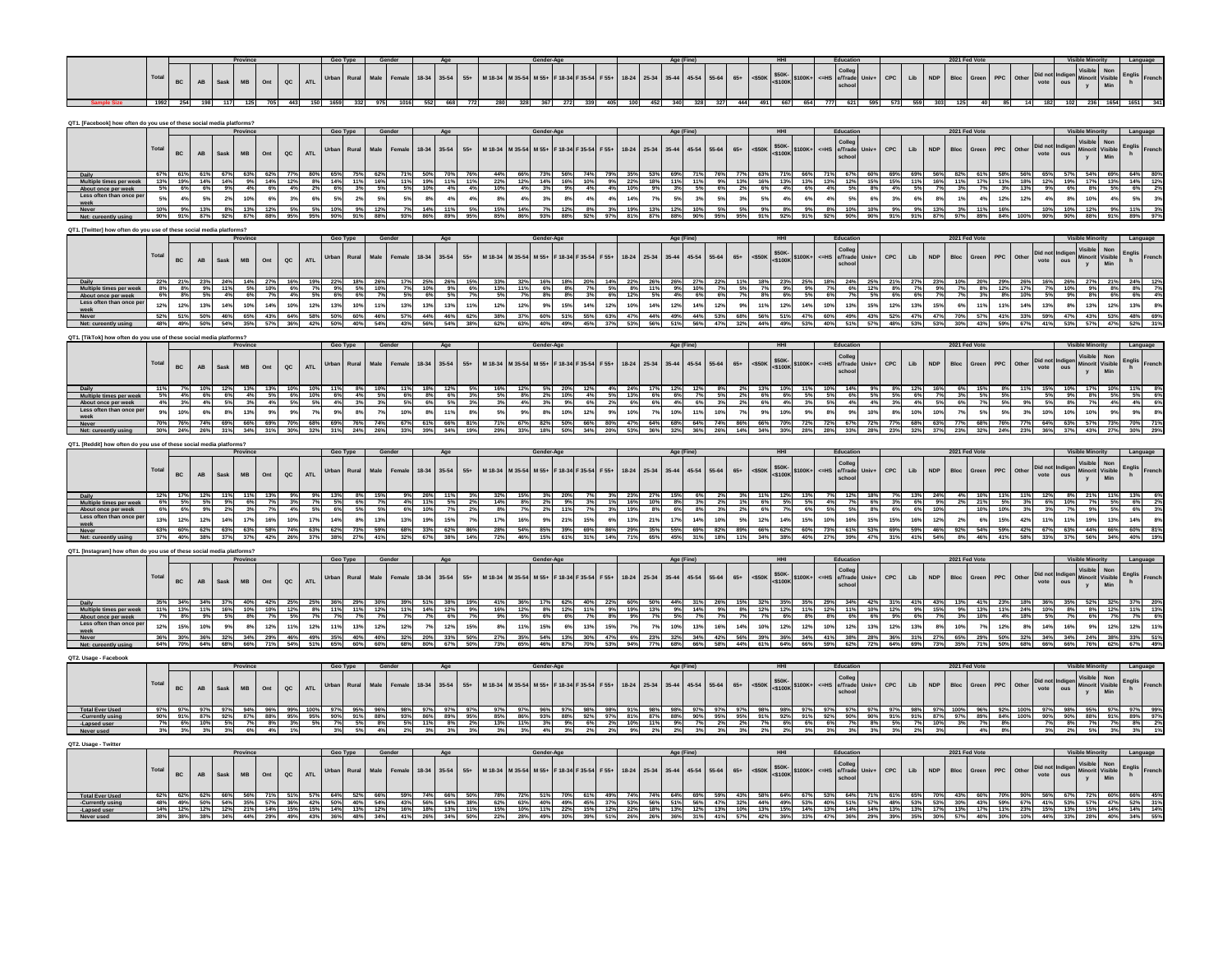|  |  |  |                       |  |  | Gender |                 |  |  |  |  |  |  |  |  | Educativ |  |  | 2021 Fed Vote |  |  |  |  |  |
|--|--|--|-----------------------|--|--|--------|-----------------|--|--|--|--|--|--|--|--|----------|--|--|---------------|--|--|--|--|--|
|  |  |  | AB Sask MB Ont QC ATL |  |  |        | $10.24$ $25.54$ |  |  |  |  |  |  |  |  |          |  |  |               |  |  |  |  |  |
|  |  |  |                       |  |  |        |                 |  |  |  |  |  |  |  |  |          |  |  |               |  |  |  |  |  |

| QT1. [Facebook] how often do you use of these social media platfor     |                 |                    |                 |                 |               |                     |               |                                     |            |            |            |                 |            |                    |            |            |                 |            |                       |            |                                    |            |                                     |                        |                                                                                            |           |                                        |                                   |                |                       |              |     |                 |            |                                    |                   |                  |                        |                                                                     |                                                     |               |  |
|------------------------------------------------------------------------|-----------------|--------------------|-----------------|-----------------|---------------|---------------------|---------------|-------------------------------------|------------|------------|------------|-----------------|------------|--------------------|------------|------------|-----------------|------------|-----------------------|------------|------------------------------------|------------|-------------------------------------|------------------------|--------------------------------------------------------------------------------------------|-----------|----------------------------------------|-----------------------------------|----------------|-----------------------|--------------|-----|-----------------|------------|------------------------------------|-------------------|------------------|------------------------|---------------------------------------------------------------------|-----------------------------------------------------|---------------|--|
|                                                                        |                 |                    |                 |                 |               |                     |               |                                     |            |            |            |                 |            |                    |            |            |                 |            |                       |            |                                    |            |                                     |                        |                                                                                            |           |                                        |                                   |                |                       |              |     |                 |            |                                    |                   |                  |                        |                                                                     |                                                     |               |  |
|                                                                        | Total           |                    |                 |                 |               |                     |               |                                     | Urban      | Rural      |            | Femal           | 18-34      | 35-54              | $55+$      | M 18-34    | M 35-54         | M 55+      | 18-34                 | $35 - 54$  | $F 55+$                            | $18 - 24$  | 25-34                               | 45-54<br>$35 - 44$     | $55 - 64$                                                                                  | $65+$     | $50$                                   | \$50K<br>6100K+                   | $=HS$          | Colley<br>e/Trade     | Univ-        | CPC | Lib             | <b>NDP</b> | Bloc<br>Green                      | PPC               | Other            | )id n                  |                                                                     | Non<br>Visible<br>Minori                            |               |  |
|                                                                        |                 | BC                 | AB              | Sask            | MB            | Ont                 | $_{\alpha c}$ | <b>ATL</b>                          |            |            |            |                 |            |                    |            |            |                 |            |                       |            |                                    |            |                                     |                        |                                                                                            |           |                                        | $<$ \$100k                        |                | schoo                 |              |     |                 |            |                                    |                   |                  | vote                   |                                                                     | Min                                                 |               |  |
|                                                                        |                 |                    |                 |                 |               |                     |               |                                     |            |            |            |                 |            |                    |            |            |                 |            |                       |            |                                    |            |                                     |                        |                                                                                            |           |                                        |                                   |                |                       |              |     |                 |            |                                    |                   |                  |                        |                                                                     |                                                     |               |  |
|                                                                        | 67%             |                    |                 |                 |               |                     |               | 61% 61% 67% 63% 62% 77% 80% 65% 75% |            |            |            |                 |            | 50% 70% 76%        |            |            |                 |            |                       |            |                                    |            | 44% 66% 73% 56% 74% 79% 35% 53% 69% |                        |                                                                                            |           | 77% 63% 71% 66% 71% 67% 60% 69% 69%    |                                   |                |                       |              |     |                 |            |                                    |                   |                  |                        |                                                                     | 56% 82% 61% 58% 56% 65% 57% 54% 54% 69% 64%         |               |  |
| Multiple times per we<br>About once per week                           | 13%<br>5%       | 19%<br>6%          | 14%<br>6%       | 14%<br>9%       | 9%<br>4%      | 14%<br>6%           | 12%<br>4%     | 8%<br>2%                            | 14%<br>6%  | 11%<br>3%  | 16%<br>5%  | 11%<br>5%       | 19%<br>10% | 11% 11%<br>4%      | 4%         | 22%<br>10% | 12%<br>4%       | 3%         | 14% 16% 10%<br>9%     | 4%         | $9\%$ 22%<br>4%                    | 10%        | 18%<br>9%                           | 11%<br>11%<br>3%       | 9%<br>6%<br>5%                                                                             | 13%<br>2% | 6%                                     | 16% 13% 13% 13% 12% 15% 15%<br>4% | 6%<br>4%       | 5%                    | 8%           | 4%  | 11%<br>5%       | 16%<br>7%  | 11%<br>17%<br>3%                   | 7%                | 3%<br>13%        | 9%                     | 6%                                                                  | 11% 18% 12% 19% 17% 13%<br>8%<br>5%                 | 14%<br>6%     |  |
| Less often than once p                                                 |                 | 4%                 | 5%              | 2%              | 10%           | 6%                  |               |                                     |            | 2%         |            |                 | 8%         | 4%                 | 4%         |            | 4%              |            |                       |            | 4%                                 | 14%        |                                     |                        | 3%<br>5%                                                                                   | 3%        | 5%                                     | 4%                                | $6\%$<br>$4\%$ |                       | 6%           | 3%  | 6%              | 8%         | 1%                                 | 12%<br>4%         | 12%              |                        | 8%                                                                  | 10%                                                 |               |  |
| weel                                                                   |                 |                    |                 |                 |               |                     | 3%            | 6%                                  | $5\%$      |            | 5%         |                 |            |                    |            | 8%         |                 | 3%         | 8%                    | 4%         |                                    |            | 7%                                  | $5\%$                  |                                                                                            |           |                                        |                                   |                | 5%                    | 10%          |     |                 |            |                                    |                   |                  | 4%                     |                                                                     | 4%                                                  | 5%            |  |
|                                                                        | 90%             | 9%<br>91%          | $-13%$<br>87%   | 8%<br>92%       | $-13%$<br>87% | 12%<br>88%          | 95%           | 95%                                 | 10%<br>90% | 9%<br>91%  | 12%<br>88% | 935             | 14%<br>86% | 11%<br>89%         | 95%        | 15%<br>85% | 14%<br>86%      | 93%        | 12%<br>88%            | 92%        | 97%                                | 19%<br>81% | 13%<br>87%                          | 12%<br>88%<br>90%      | 95%                                                                                        | 95%       | 9%<br>91%                              | 92%<br>91%                        | 8%<br>92%      | 10%<br>90%            | 90%          | 91% | 91%             | 13%<br>87% | 11%<br>97%<br>89%                  | 16%<br>84%        | 100%             | 10%<br>90%             | 10%<br>90%                                                          | 12%<br>9%<br>88%<br>91%                             | 11%<br>- 89%  |  |
|                                                                        |                 |                    |                 |                 |               |                     |               |                                     |            |            |            |                 |            |                    |            |            |                 |            |                       |            |                                    |            |                                     |                        |                                                                                            |           |                                        |                                   |                |                       |              |     |                 |            |                                    |                   |                  |                        |                                                                     |                                                     |               |  |
| OT1. [Twitter] how often do you use of these social media platforms'   |                 |                    |                 |                 |               |                     |               |                                     | Geo Type   |            |            |                 |            |                    |            |            |                 |            |                       |            |                                    |            |                                     |                        |                                                                                            |           |                                        |                                   |                |                       |              |     |                 |            | 2021 Fed Vote                      |                   |                  |                        |                                                                     | <b>Visible Minority</b>                             |               |  |
|                                                                        |                 |                    |                 |                 |               |                     |               |                                     |            |            |            |                 |            |                    |            |            |                 | Gender-Age |                       |            |                                    |            |                                     | Age (Fine              |                                                                                            |           |                                        |                                   |                |                       |              |     |                 |            |                                    |                   |                  |                        |                                                                     |                                                     |               |  |
|                                                                        | Total           |                    |                 |                 |               |                     |               |                                     | Urban      | Rural      | Male       | Female          | 18-34      | 35-54              | $55+$      | M 18-34    | M 35-54         | M 55+      | F 18-34 F 35-54       |            | $F 55+$                            | $18 - 24$  | 25-34                               | $35 - 44$<br>45-54     | 55-64                                                                                      | $65+$     | < \$50K                                | \$50K-<br>\$100K-                 | $=HS$          | Colleg<br>e/Trade     | <b>Univ-</b> | CPC | Lib             | <b>NDP</b> | Bloc<br>Green                      | PPC               | Other            | Did no                 |                                                                     | Non<br>Visible<br>Minori                            | <b>Englis</b> |  |
|                                                                        |                 | BC                 | AB              | Sask            | <b>MB</b>     | Ont                 | $_{\alpha c}$ | ATL                                 |            |            |            |                 |            |                    |            |            |                 |            |                       |            |                                    |            |                                     |                        |                                                                                            |           |                                        | \$100K                            |                | cho                   |              |     |                 |            |                                    |                   |                  | vote                   | ous                                                                 | Min                                                 |               |  |
|                                                                        |                 |                    |                 |                 |               |                     |               |                                     |            |            |            |                 |            |                    |            |            |                 |            |                       |            |                                    |            |                                     |                        |                                                                                            |           |                                        |                                   |                |                       |              |     |                 |            |                                    |                   |                  |                        |                                                                     |                                                     |               |  |
|                                                                        |                 |                    |                 | 24%             | 14%           | 27%                 | 16%           | 19%                                 | 22%        | 18%        |            |                 | 25%        | 26%                | 15%        | 33%        | 32%             | 16%        |                       |            | 14%                                |            |                                     |                        |                                                                                            |           | 18%                                    | 23%                               | 25%<br>18%     | 24%                   |              |     |                 | 23%        | 10%<br>20%                         | 29%               |                  | 16%                    | 26%                                                                 | 27%<br>21%                                          | 24%           |  |
| Multiple times per week<br>About once per week                         |                 | 8%                 | 9%              | 11%             | 5%            | 10%                 | 6%            | 7%                                  | 9%         | 5%         | 10%        |                 | 10%        | 9%                 | 6%         | 13%        | 11%             | 6%         | 8%                    | 7%         | 5%                                 | 8%         | 11%                                 | 9%<br>10%              |                                                                                            | 5%        | 7%                                     | 9%                                | 9%<br>7%       | 6%                    | 12%          |     | 7%              | 9%         | 7%                                 | 8%<br>12%         | 17%<br>8%        | 7%                     | 10%                                                                 | 9%<br>8%                                            | 8%            |  |
| Less often than once p                                                 | 12 <sup>6</sup> | 12 <sup>6</sup>    | 13 <sup>9</sup> | 14%             | 10%           | 14%                 | 10%           | 12 <sup>9</sup>                     | 13%        | 10%        |            | 13 <sup>6</sup> | 13%        | 13%                | 11%        | 12%        | 12 <sub>9</sub> |            | 15%                   | 14%        | 12%                                | 10%        |                                     | 12%                    | 14%<br>12%                                                                                 |           |                                        | 12%<br>14%                        | 10%            | 13%                   | 15           | 12% | 13%             | 15%        |                                    | 11%<br>11%        | 149              | 13%                    |                                                                     | 13%<br>12 <sub>9</sub>                              | 13%           |  |
|                                                                        | 52%             |                    |                 |                 |               |                     |               |                                     | 50%        |            |            | 57%             | 44%        |                    |            |            |                 |            |                       | 55%        |                                    |            |                                     |                        |                                                                                            |           |                                        |                                   |                |                       |              |     | 47%             | 47%        | 57%                                |                   |                  |                        |                                                                     |                                                     |               |  |
|                                                                        |                 | 51%                | 50%             | 46%             | 65%           | 43%                 | 64%           | 58%                                 |            | 60%        | 46%        |                 |            | 46%                | 62%        | 38%        | 37%             | 60%        | 51%                   |            | 63%                                | 47%        | 44%                                 | 49%                    | 44%<br>53%                                                                                 | 68%       | 56%                                    | 51%<br>47%                        | 60%            | 49%                   | 43%          | 52% |                 |            | 70%<br>43%                         | 41%               | 33%              | 59%                    | 47%                                                                 | 43%<br>53%                                          | 48%           |  |
|                                                                        |                 |                    |                 |                 |               |                     |               |                                     |            |            |            |                 |            |                    |            |            |                 |            |                       |            |                                    |            |                                     |                        |                                                                                            |           |                                        |                                   |                |                       |              |     |                 |            |                                    |                   |                  |                        |                                                                     |                                                     |               |  |
| QT1. [TikTok] how often do you use of these social media platforms?    |                 |                    |                 |                 | Provinc       |                     |               |                                     | Geo Type   |            |            |                 |            |                    |            |            |                 |            |                       |            |                                    |            |                                     |                        |                                                                                            |           |                                        |                                   |                |                       |              |     |                 |            | 2021 Fed Vote                      |                   |                  |                        |                                                                     |                                                     |               |  |
|                                                                        |                 |                    |                 |                 |               |                     |               |                                     |            |            |            |                 |            |                    |            |            |                 |            |                       |            |                                    |            |                                     | Age (Fir               |                                                                                            |           |                                        |                                   |                |                       |              |     |                 |            |                                    |                   |                  |                        |                                                                     |                                                     |               |  |
|                                                                        | Total           |                    |                 |                 |               |                     |               |                                     | Urban      | Rural      |            | Female          | 18-34      | 35-54              | $55+$      | M 18-34    | M 35-54         | M 55+      | F 18-34               | $-35 - 54$ | F 55+                              | $18 - 24$  | $25 - 34$                           | $35 - 44$<br>45-54     | 55-64                                                                                      | $65+$     | $<$ \$50K                              | \$50K-<br>\$100K-                 | <=HS           | Colleg<br>e/Trade     | Univ         | CPC | Lib             | <b>NDP</b> | Bloc<br>Green                      | PPC               | Other            | Did no                 |                                                                     | Visible<br>Non<br>Visible<br>Minorit                | Englis<br>h   |  |
|                                                                        |                 | BC                 | AB              | Sask            | MB            | Ont                 | $_{\alpha c}$ | <b>ATL</b>                          |            |            |            |                 |            |                    |            |            |                 |            |                       |            |                                    |            |                                     |                        |                                                                                            |           |                                        | 5100K                             |                | cho                   |              |     |                 |            |                                    |                   |                  | vote                   | ous                                                                 | Min<br>$\mathbf{v}$                                 |               |  |
|                                                                        |                 |                    |                 |                 |               |                     |               |                                     |            |            |            |                 |            |                    |            |            |                 |            |                       |            |                                    |            |                                     |                        |                                                                                            |           |                                        |                                   |                |                       |              |     |                 |            |                                    |                   |                  |                        |                                                                     |                                                     |               |  |
|                                                                        |                 |                    |                 | 12%             |               |                     |               |                                     |            |            |            |                 |            |                    |            |            |                 |            |                       |            |                                    |            |                                     |                        |                                                                                            |           |                                        |                                   |                |                       |              |     |                 |            |                                    |                   |                  |                        |                                                                     |                                                     |               |  |
| Multiple times per week<br>About once per week                         | 5%              | 4%                 | 6%              | 6%              | 4%            | 5%                  | 6%            | 10%                                 | 6%<br>4%   | 4%<br>3%   | 5%         | 6%              | 8%<br>- 6% | 6%                 | 3%         | 5%         | 8%              | 2%         | 10%<br>9%             | 4%<br>6%   | 5%                                 | 13%<br>6%  | 6%<br>6%                            | 6%<br>4%               | 7%<br>5%                                                                                   | 2%        | 6%<br>6%                               | 6%                                | 5%<br>5%       | 6%<br>4%              | 5%           | 5%  | 6%              | 7%<br>5%   | 3%                                 | 5%                | 5%               | 5%                     | 9%                                                                  | 8%<br>5%                                            | 5%            |  |
| Less often than once p                                                 |                 | 10%                | 6%              | 8%              | 13%           | 9 <sup>9</sup>      | 9%            | T <sup>0</sup>                      | 9%         | 8%         |            | 10%             | 8%         | 11%                | 8%         | 5%         | 9%              | 8%         | 10%                   | 12%        | 9%                                 | 10%        | 7%                                  | 10%                    | 11%<br>10%                                                                                 | 7%        | 9%                                     | 10%                               | 9%<br>8%       | 9%                    | 10%          | 8%  | 10%             | 10%        | T <sup>3</sup>                     | 5%<br>5%          | 3%               | 10%                    | 10%                                                                 | 10%<br>9%                                           |               |  |
|                                                                        |                 |                    |                 |                 |               |                     |               |                                     |            |            |            |                 |            |                    |            |            |                 |            |                       |            |                                    |            |                                     |                        |                                                                                            |           |                                        |                                   |                |                       |              |     |                 |            |                                    |                   |                  |                        |                                                                     |                                                     |               |  |
|                                                                        | 70%             | <b>76%</b><br>24%  | 74%<br>26%      | 69%<br>31%      | 66%           | 69%                 | 70%           |                                     | 69%        | 76%        | 74%        |                 | 61%        | 66%                | 81%        |            |                 |            |                       | 66%        |                                    |            | 64%                                 | 68%<br>64%             | 74%                                                                                        |           |                                        | 72%                               | 72%            | 67%                   | 72%          | 77% | 68%             | 63%        | 77%<br>68%                         | 76%<br>24%        | 77%              | 64%                    | 63%                                                                 |                                                     | 70%           |  |
|                                                                        |                 |                    |                 |                 |               |                     |               |                                     |            |            |            |                 |            |                    |            |            |                 |            |                       |            |                                    |            |                                     |                        |                                                                                            |           |                                        |                                   |                |                       |              |     |                 |            |                                    |                   |                  |                        |                                                                     |                                                     |               |  |
| QT1. [Reddit] how often do vou use of these social media platforms?    |                 |                    |                 |                 | Provinc       |                     |               |                                     | Geo Tyne   |            |            |                 |            |                    |            |            |                 |            |                       |            |                                    |            |                                     |                        |                                                                                            |           |                                        |                                   |                | <b>Educat</b>         |              |     |                 |            | 2021 Fed Vote                      |                   |                  |                        |                                                                     |                                                     |               |  |
|                                                                        |                 |                    |                 |                 |               |                     |               |                                     |            |            |            |                 |            |                    |            |            |                 |            |                       |            |                                    |            |                                     |                        |                                                                                            |           |                                        |                                   |                |                       |              |     |                 |            |                                    |                   |                  |                        |                                                                     |                                                     |               |  |
|                                                                        | Total           |                    |                 |                 |               |                     |               |                                     | Urban      | Rural      | Male       | Female          | 18-34      | 35-54              | $55+$      | M 18-34    | M 35-54         | M 55+      | F 18-34 F 35-54       |            | F 55+                              | $18-24$    | 25-34                               | $35 - 44$<br>$45 - 54$ | 55-64                                                                                      | $65+$     | $550k$                                 | \$50K<br>\$100K+                  |                | Colleg<br>HS e/Trade  | Univ-        | CPC | Lib             | <b>NDP</b> | <b>Bloc</b><br>Green               | <b>PPC</b>        | Other            | Did no                 |                                                                     | Visible<br>Non<br>Visible<br>Minorit                | Englis        |  |
|                                                                        |                 | BC                 | AB              | Sask            | MB            | Ont                 | $_{\alpha c}$ | <b>ATL</b>                          |            |            |            |                 |            |                    |            |            |                 |            |                       |            |                                    |            |                                     |                        |                                                                                            |           |                                        | <\$100K                           |                | scho                  |              |     |                 |            |                                    |                   |                  | vote                   | ous                                                                 | Min                                                 |               |  |
|                                                                        |                 |                    |                 |                 |               |                     |               |                                     |            |            |            |                 |            |                    |            |            |                 |            |                       |            |                                    |            |                                     |                        |                                                                                            |           |                                        |                                   |                |                       |              |     |                 |            |                                    |                   |                  |                        |                                                                     |                                                     |               |  |
|                                                                        |                 |                    |                 | 11%             |               |                     |               |                                     | 13%        |            |            |                 | 26%        |                    |            |            |                 |            |                       |            |                                    |            |                                     |                        |                                                                                            |           |                                        |                                   |                | 12%                   |              |     |                 | 24%        |                                    |                   |                  | 129                    |                                                                     |                                                     |               |  |
| Multiple times per week<br>About once per week                         | 6%              | 5%                 | 5%              | 9%              | 6%            |                     |               |                                     | 5%         | 6%         |            |                 | 11%        | 5%                 |            | 14%        | 8%              |            | 9%                    | 3%         |                                    | 16%        | 10%                                 | 8%                     | 3%                                                                                         |           | 6%                                     |                                   | 5%<br>4%       |                       |              |     | 6%              | 9%         | 21%                                | 10%               |                  | 6%                     | 10%                                                                 | 5%                                                  | 6%            |  |
| Less often than once p                                                 | 13%             | 12 <sub>9</sub>    | 129             | 14%             | 17%           | 16%                 | 10%           | 17 <sup>o</sup>                     | 14%        | 8%         | 13%        | 139             | 19%        | 15%                |            | 17%        | 16%             | 9%         | 21%                   | 15%        | 6%                                 | 13%        |                                     | 17%                    | 14%<br>10%                                                                                 |           | 12%                                    | 15%<br>14%                        | 10%            | 16%                   | 155          | 15% | 16%             | 12%        | 6%<br>2%                           | 15%               | 42%              | 11%                    | 11%                                                                 | 19%<br>13%                                          | 14%           |  |
|                                                                        | 63%             | 60%                | 62%             | 63%             | 63%           | 58%                 | 74%           | 63%                                 | 62%        | 73%        | 59%        | 68%             | 33%        | 62%                | 86%        | 28%        | 54%             | 85%        | 39%                   | 69%        | 86%                                | 29%        |                                     | 55%                    | 69%<br>82%                                                                                 | 89%       | 66%                                    | 62%                               | 60%<br>73%     | 61%                   | 53%          | 69% | 59%             | 46%        | 92%                                | 59%<br>54%        | 42%              | 67%                    | 63%                                                                 | 44%<br>66%                                          | 60%           |  |
|                                                                        |                 |                    | 38%             | 37% 37%         |               | 42%                 |               |                                     |            |            |            |                 | 67%        |                    |            |            |                 |            | 61% 31%               |            | 14%                                |            |                                     |                        |                                                                                            |           |                                        |                                   |                |                       | 47% 31%      |     | 41%             | 54%        |                                    |                   | 46% 41% 58%      | 33%                    | 37%                                                                 | 56%                                                 | 34% 40%       |  |
|                                                                        |                 |                    |                 |                 |               |                     |               |                                     |            |            |            |                 |            |                    |            |            |                 |            |                       |            |                                    |            |                                     |                        |                                                                                            |           |                                        |                                   |                |                       |              |     |                 |            |                                    |                   |                  |                        |                                                                     |                                                     |               |  |
| QT1. [Instagram] how often do you use of these social media platforms' |                 |                    |                 |                 | Province      |                     |               |                                     |            | Geo Tyne   | Gender     |                 |            | Age                |            |            |                 | Gender-Age |                       |            |                                    |            |                                     | Age (Fine)             |                                                                                            |           |                                        |                                   |                | Education             |              |     |                 |            | 2021 Fed Vote                      |                   |                  |                        |                                                                     | Visible Minority                                    | Languag       |  |
|                                                                        |                 |                    |                 |                 |               |                     |               |                                     |            |            |            |                 |            |                    |            |            |                 |            |                       |            |                                    |            |                                     |                        |                                                                                            |           |                                        |                                   |                | Coller                |              |     |                 |            |                                    |                   |                  |                        |                                                                     | Non                                                 |               |  |
|                                                                        | Total           |                    |                 |                 |               |                     |               |                                     | Urban      | Rural      | Male       | Female          | 18-34      | 35-54              | $55+$      | M 18-34    | M 35-54         | M 55+      | F 18-34 F 35-54       |            | F 55+                              | $18-24$    | 25-34                               | $35 - 44$<br>$45 - 54$ | 55-64                                                                                      | $65+$     | $<$ \$50K                              | \$50K<br>\$100K+                  | $=HS$          | e/Trade               | Univ-        | CPC | Lib             | <b>NDP</b> | <b>Bloc</b><br>Green               | <b>PPC</b>        | Other            | Did no                 |                                                                     | Visible<br>Minorit                                  | Englis        |  |
|                                                                        |                 | BC                 | AB              | Sask            | MB            | Ont                 | $_{\alpha c}$ | <b>ATL</b>                          |            |            |            |                 |            |                    |            |            |                 |            |                       |            |                                    |            |                                     |                        |                                                                                            |           |                                        | \$100                             |                | schor                 |              |     |                 |            |                                    |                   |                  | vote                   | ous                                                                 | <b>Min</b>                                          |               |  |
|                                                                        |                 |                    |                 |                 |               |                     |               |                                     |            |            |            |                 |            |                    |            |            |                 |            |                       |            |                                    |            |                                     |                        |                                                                                            |           |                                        |                                   |                |                       |              |     |                 |            |                                    |                   |                  |                        |                                                                     |                                                     |               |  |
| Multiple times per week                                                | $-113$          | 13%                | 11%             | 16%             | 40%<br>10%    | 10%                 | 25%<br>12%    | 8%                                  | 36%<br>11% | 29%<br>11% | 12%        | 39%<br>119      | 14%        | 38%<br>12%         | 9%         | 16%        | 12%             | 8%         | 12%                   | 11%        | 9%                                 | 60%<br>19% | 13%                                 | 9%                     | 14%<br>9%                                                                                  | 3%        | 32%<br>12%                             | 35%<br>12%<br>11%                 | 29%<br>12%     | 11%                   | 42%<br>10%   | 12% | 9%              | 15%        | 13%<br>9%                          | 23%<br>13%<br>11% | 24%              | 36%<br>10 <sup>9</sup> | 8%                                                                  | 52%<br>32%<br>12%<br>8%                             | $-11$         |  |
| About once per week                                                    |                 |                    |                 |                 |               |                     |               |                                     |            |            |            |                 |            |                    |            |            |                 |            |                       |            |                                    |            |                                     |                        |                                                                                            |           |                                        |                                   |                |                       |              |     |                 |            |                                    |                   |                  |                        |                                                                     |                                                     |               |  |
| Less often than once p                                                 | 12%             | 15%                | 10 <sup>o</sup> |                 |               | 12 <sup>9</sup>     |               |                                     |            | 13%        | 12%        | 12%             |            | 12%                | 15%        |            |                 | 15%        |                       | 13%        |                                    |            |                                     | 10%                    | 13%<br>16%                                                                                 | 14%       | 10%                                    | 12%<br>12%                        | 10%            | 12%                   |              | 12% | 13 <sup>°</sup> |            | 10%                                |                   |                  | 14°                    |                                                                     |                                                     |               |  |
|                                                                        | 36%             | 30%                | 36%             | 32%             | 34%           | 29%                 | 46%           | 49%                                 |            | 40%        | 40%        | 32 <sup>1</sup> | 20%        | 33%                | 50%        | 27%        | 35%             | 54%        | 13%                   | 30%        | 47%                                |            | 23%                                 | 32%<br>34%             |                                                                                            |           | 39%                                    | 34%                               | 41%            | 38%                   | 28%          |     | 319             | 27%        | 65%<br>29%                         | 50%               | 32%              | 34%                    | 34%                                                                 | 24%<br>38%                                          | 33%           |  |
| Net: cureently using                                                   | 64%             |                    | 64%             | 68%             | 66%           |                     |               |                                     |            |            |            |                 |            |                    |            |            |                 |            |                       |            |                                    |            |                                     |                        |                                                                                            |           |                                        |                                   |                |                       |              |     |                 |            |                                    |                   |                  |                        |                                                                     |                                                     |               |  |
| QT2. Usage - Facebook                                                  |                 |                    |                 |                 |               |                     |               |                                     |            |            |            |                 |            |                    |            |            |                 |            |                       |            |                                    |            |                                     |                        |                                                                                            |           |                                        |                                   |                |                       |              |     |                 |            |                                    |                   |                  |                        |                                                                     |                                                     |               |  |
|                                                                        |                 |                    |                 |                 | Province      |                     |               |                                     |            | Geo Type   | Gender     |                 |            |                    |            |            |                 |            |                       |            |                                    |            |                                     | Age (Fine)             |                                                                                            |           |                                        |                                   |                | Education             |              |     |                 |            | 2021 Fed Vote                      |                   |                  |                        |                                                                     | <b>Visible Minority</b>                             | Language      |  |
|                                                                        |                 |                    |                 |                 |               |                     |               |                                     |            |            |            |                 |            |                    |            |            |                 |            |                       |            |                                    |            |                                     |                        |                                                                                            |           |                                        |                                   |                |                       |              |     |                 |            |                                    |                   |                  |                        |                                                                     | Visible<br>Non                                      |               |  |
|                                                                        | Total           | BC                 | AB              | Sask            | MB            | Ont                 | $_{\alpha c}$ | <b>ATL</b>                          | Urban      | Rural      | Male       | Female          | $18 - 34$  | 35-54              | $55+$      | M 18-34    | M 35-54         | M 55+      | F 18-34 F 35-54       |            | F 55+                              | $18 - 24$  | 25-34                               | $35 - 44$<br>45-54     | 55-64                                                                                      | $65+$     | $<$ \$50K                              | \$50K-<br>\$100K+<br><\$100K      |                | Colleg<br>EHS e/Trade | Univ-        | CPC | Lib             | <b>NDP</b> | <b>Bloc</b><br>Green               | PPC               | Other            | Did no<br>vote         | ous                                                                 | Visible<br>Minorit                                  | <b>Englis</b> |  |
|                                                                        |                 |                    |                 |                 |               |                     |               |                                     |            |            |            |                 |            |                    |            |            |                 |            |                       |            |                                    |            |                                     |                        |                                                                                            |           |                                        |                                   |                | schoe                 |              |     |                 |            |                                    |                   |                  |                        |                                                                     | Min                                                 |               |  |
|                                                                        |                 |                    |                 |                 |               |                     |               |                                     |            |            |            |                 |            |                    |            |            |                 |            |                       |            |                                    |            |                                     |                        |                                                                                            |           |                                        |                                   |                |                       |              |     |                 | 97% 100%   |                                    |                   |                  |                        |                                                                     |                                                     |               |  |
| <b>Total Ever Used</b><br>-Currently using                             | 90%             | 97%<br>91%         | 97%<br>87%      |                 | 97% 94%       |                     |               | 99% 100%<br>92% 87% 88% 95% 95%     | 97%        | 90% 91%    | 88%        | 93%             | 86%        | 97%<br>89%         | 97%<br>95% | 07%<br>85% |                 | 07% 06%    | 97%                   | 98%        | 98%<br>86% 93% 88% 92% 97% 81% 87% |            |                                     | 88%<br>90%             | 95%                                                                                        | 95%       | 97% 98% 98%                            | 91% 92% 91% 92% 90% 90% 91%       |                | 97% 97% 97% 97% 97%   |              |     | 91%             |            |                                    |                   | 96% 92% 100% 97% |                        |                                                                     | 98% 95% 97%<br>87% 97% 89% 84% 100% 90% 90% 88% 91% | 97%<br>89%    |  |
| -Lapsed user                                                           | 7%              | 6%                 | 10%             | 5%              | 7%            | 8%                  | 3%            | 5%                                  | 7%         | 5%         | 8%         | - 50            | 11%        | 8%                 | 2%         | 13%        | $-11\%$         |            | $3\%$ $9\%$           |            | 6% 2% 10%                          |            | $-11%$                              | 9%                     | 70/<br>2%                                                                                  | 2%        | 7%                                     | 6% 6%                             |                | 6% 7% 8% 5%           |              |     | - 7%            | 10%        | 3%                                 | $7\%$ 8%          |                  | 70/                    | $8\%$                                                               | 7% 7%                                               | 8%            |  |
| Never used                                                             | 3%              | 3%                 | 3%              | 3%              | 6%            | 4%                  |               |                                     |            | $-50/$     |            |                 |            |                    |            | 3%         | 20/             | 4%         |                       | 2%         |                                    |            | 2%                                  |                        |                                                                                            |           | 2%                                     |                                   | 3%             | 3%                    |              |     |                 |            |                                    | 4%                | 8%               | 3%                     | 2%                                                                  | 5%<br>3%                                            |               |  |
| QT2. Usage - Twitte                                                    |                 |                    |                 |                 |               |                     |               |                                     |            |            |            |                 |            |                    |            |            |                 |            |                       |            |                                    |            |                                     |                        |                                                                                            |           |                                        |                                   |                |                       |              |     |                 |            |                                    |                   |                  |                        |                                                                     |                                                     |               |  |
|                                                                        |                 |                    |                 |                 |               |                     |               |                                     |            | Geo Type   | Gender     |                 |            | Age                |            |            |                 | Gender-Age |                       |            |                                    |            |                                     | Age (Fine)             |                                                                                            |           |                                        |                                   |                |                       |              |     |                 |            | 2021 Fed Vote                      |                   |                  |                        |                                                                     | <b>Visible Minority</b>                             | Languag       |  |
|                                                                        |                 |                    |                 |                 |               |                     |               |                                     |            |            |            |                 |            |                    |            |            |                 |            |                       |            |                                    |            |                                     |                        |                                                                                            |           |                                        |                                   |                | Colleg                |              |     |                 |            |                                    |                   |                  |                        |                                                                     | Visible<br>Non                                      |               |  |
|                                                                        | Total           | BC                 | AB              | Sask            | <b>MB</b>     | Ont                 | OC            | <b>ATL</b>                          | Urban      | Rural      | Mak        | Female          | $18 - 34$  | 35-54              | $55+$      | M 18-34    | M 35-54         |            | M 55+ F 18-34 F 35-54 |            | F 55+                              | $18 - 24$  | 25-34                               | $35 - 44$<br>45-54     | 55-64                                                                                      | $65+$     | $<$ \$50K                              | \$50K-<br>\$100K+<br>5100k        |                | <=HS e/Trade          | Univ-        | CPC | Lib             | <b>NDP</b> | Bloc<br>Green                      | PPC               | Other            | Did n<br>vote          | ous                                                                 | Visible<br>Minorit                                  | Englis        |  |
|                                                                        |                 |                    |                 |                 |               |                     |               |                                     |            |            |            |                 |            |                    |            |            |                 |            |                       |            |                                    |            |                                     |                        |                                                                                            |           |                                        |                                   |                | schoo                 |              |     |                 |            |                                    |                   |                  |                        |                                                                     | Min                                                 |               |  |
|                                                                        | 62%             |                    |                 | 62% 62% 66% 56% |               |                     |               | 71% 51% 57%                         | 64%        | 52%        | 66%        | 59%             | 74%        | 66% 50%            |            | 78%        |                 |            |                       |            |                                    |            | 72% 51% 70% 61% 49% 74% 74% 64%     | 69%                    | 59%                                                                                        | 43%       | 58%                                    | 64% 67% 53% 64% 71% 61% 65%       |                |                       |              |     |                 | 70% 43%    |                                    | 60% 70%           |                  |                        |                                                                     | 90% 56% 67% 72% 60% 66%                             |               |  |
| <b>Total Ever Used</b><br>-Currently usin                              | 48%             |                    |                 |                 |               | 49% 50% 54% 35% 57% | 36%           | 42%                                 | 50%        | 40%        | 54%        | 43%             |            | 56% 54% 38%        |            | 62%        |                 |            |                       |            |                                    |            | 63% 40% 49% 45% 37% 53% 56% 51%     |                        | 56%<br>47%                                                                                 |           |                                        |                                   |                |                       |              |     |                 |            |                                    |                   |                  |                        | 32% 44% 49% 53% 40% 51% 57% 48% 53% 53% 30% 43% 59% 67% 41% 53% 57% | 47%                                                 | 52%           |  |
| -Lapsed user                                                           |                 | 14% 12%<br>38% 38% | 12%             | 38% 34% 44%     |               | 12% 21% 14%<br>29%  |               | 15% 15%<br>49% 43% 36% 48%          |            | 14% 13%    | 12%<br>34% | 16%<br>41%      | 18%        | 13%<br>26% 34% 50% | 11%        |            |                 |            |                       |            |                                    |            |                                     |                        | 15% 10% 11% 22% 15% 12% 22% 18% 13% 12% 13%<br>22% 28% 49% 30% 39% 51% 26% 26% 36% 31% 41% | 10%       | 13%<br>57% 42% 36% 33% 47% 36% 29% 39% | 15% 14% 13% 14% 14% 13%           |                |                       |              |     | 13%<br>35% 30%  | 17%        | 13% 17%<br>57% 40% 30% 10% 44% 33% | 11%               | 23%              | 15%                    |                                                                     | 13% 15% 14%<br>28% 40%                              | 14%<br>34%    |  |
| Never used                                                             |                 |                    |                 |                 |               |                     |               |                                     |            |            |            |                 |            |                    |            |            |                 |            |                       |            |                                    |            |                                     |                        |                                                                                            |           |                                        |                                   |                |                       |              |     |                 |            |                                    |                   |                  |                        |                                                                     |                                                     |               |  |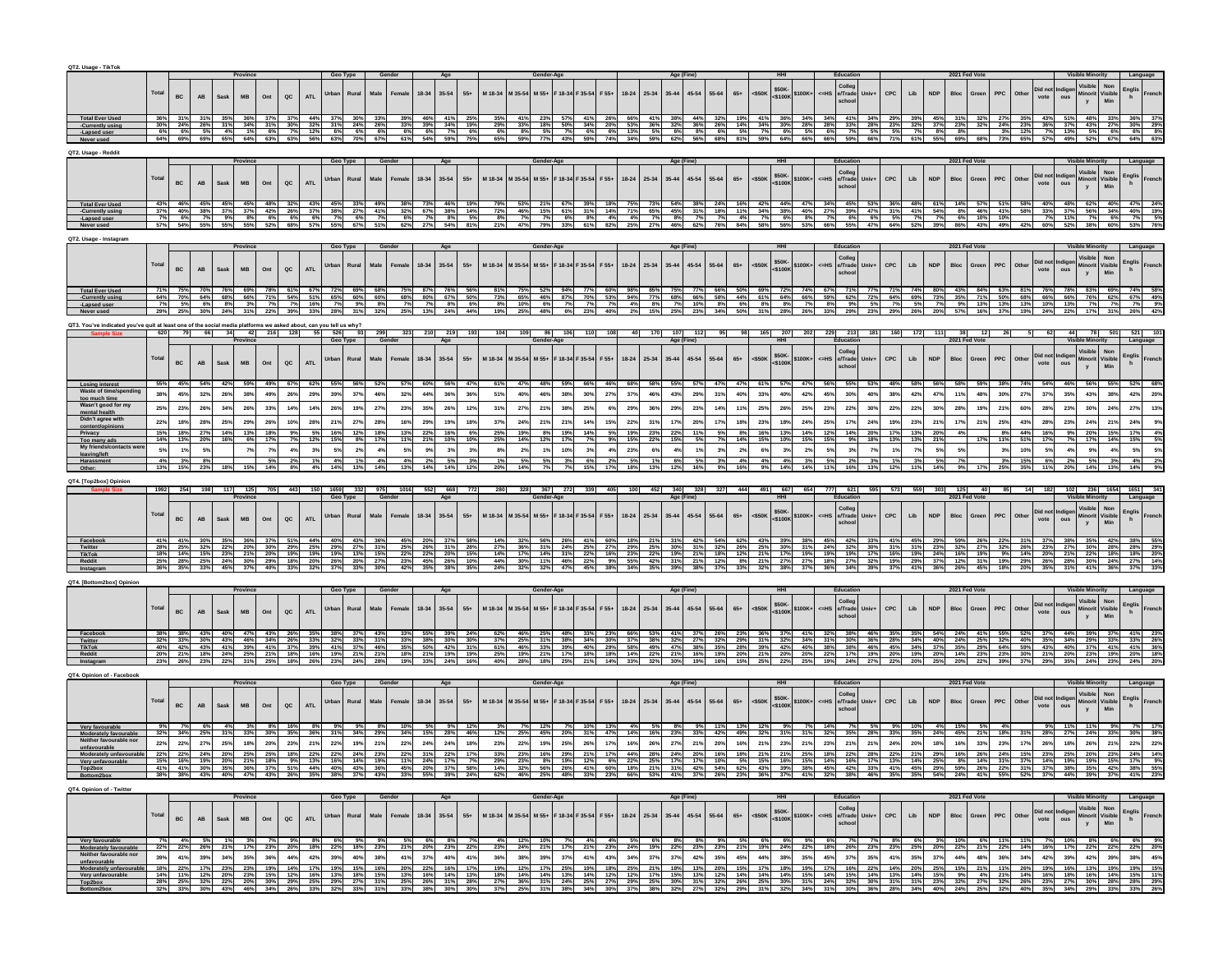| QT2. Usage - TikTol                                                                   |            |                |            |            |              |                                                                                                              |               |            |            |                  |            |                 |            |                    |                 |                     |                 |                 |                     |                          |            |                 |                                                                                                                                                                                                                                |            |            |            |                      |            |                                     |                        |            |            |            |               |             |            |            |                 |              |                         |                           |                       |               |
|---------------------------------------------------------------------------------------|------------|----------------|------------|------------|--------------|--------------------------------------------------------------------------------------------------------------|---------------|------------|------------|------------------|------------|-----------------|------------|--------------------|-----------------|---------------------|-----------------|-----------------|---------------------|--------------------------|------------|-----------------|--------------------------------------------------------------------------------------------------------------------------------------------------------------------------------------------------------------------------------|------------|------------|------------|----------------------|------------|-------------------------------------|------------------------|------------|------------|------------|---------------|-------------|------------|------------|-----------------|--------------|-------------------------|---------------------------|-----------------------|---------------|
|                                                                                       |            |                |            |            |              |                                                                                                              |               |            |            |                  |            |                 |            |                    |                 |                     |                 |                 |                     |                          |            |                 |                                                                                                                                                                                                                                |            |            |            |                      |            |                                     |                        |            |            |            | 2021 Fed Vot  |             |            |            |                 |              |                         |                           |                       |               |
|                                                                                       | Total      |                |            |            |              |                                                                                                              |               |            | Urban      | Rural            | Male       | Femal           | 18-34      | 35-54              | $55+$           | M 18-34             | M 35-54         | M 55+           | $-18-34$<br>$35-54$ | F 55+                    | $18 - 24$  | 25-34           | $35 - 44$<br>45-54                                                                                                                                                                                                             | 55-64      | $65+$      | $<$ \$50K  | \$50K                | 6100K+     | e/Trade<br>$\epsilon$ =HS           | Univ+                  | CPC        | Lib        |            |               |             |            | Othe       | Did no          |              | Minorit                 | Non<br>/isible            | Englis                | <b>French</b> |
|                                                                                       |            | <b>BC</b>      | AB         | Sask       | <b>MB</b>    | Ont                                                                                                          | $_{\alpha c}$ | <b>ATL</b> |            |                  |            |                 |            |                    |                 |                     |                 |                 |                     |                          |            |                 |                                                                                                                                                                                                                                |            |            |            | 5100k                |            |                                     |                        |            |            |            |               |             |            |            | vote            |              |                         |                           |                       |               |
|                                                                                       |            |                |            |            |              |                                                                                                              |               |            |            |                  |            |                 |            |                    |                 |                     |                 |                 |                     |                          |            |                 |                                                                                                                                                                                                                                |            |            |            |                      |            |                                     |                        |            |            |            |               |             |            |            |                 |              |                         |                           |                       |               |
| <b>Total Ever Used</b><br>-Currently using                                            | 36%<br>30% | 24%            | 26%        | 31%        | 34%          | 31%                                                                                                          | 30%           | 44%<br>32% | 31%        | 24%              | 26%        | 33%             | 46%<br>39% | 41%                | 19%             |                     | 339             | 18%             | 50%                 | 41%<br>34%<br>20%        | 66%<br>53% | 41%<br>36%      | 44%<br>38%<br>32%<br>36%                                                                                                                                                                                                       | 32%<br>26% | 19%<br>14% | 41%<br>34% | 36%<br>30%           | 34%<br>28% | 34%<br>41%<br>28%<br>33%            | 34%<br>28%             | 23%        | 32%        | 45%<br>37% | 23%           | 32%         | 24%        | 23%        | 43%<br>36%      | 37%          | 48%<br>43%              | 27%                       | 30%                   | 29%           |
| -Lapsed user                                                                          | 6%         | 6%             | 5%         | 4%         | 1%           | 6%                                                                                                           | 7%            | 12%        | 6%         | 6%               | 6%         | 6%              | 6%         | $\frac{34\%}{7\%}$ | 6%              | $\frac{29\%}{6\%}$  | 8%              | 5%              | 7%                  | 6%<br>6%                 | 13%        | 5%              | 6%<br>8%                                                                                                                                                                                                                       | 6%         | 5%         | 7%         | 6%                   | 5%         | 6%                                  | 7%<br>5%               | 5%         |            | 8%         | 8%            |             | 3%         | 12%        | 7%              | 13%          | 5%                      | 6%                        | 6%                    | 8%            |
|                                                                                       | 64%        | 69%            | 69%        | 65%        | 64%          | 63%                                                                                                          | 63%           | 56%        | 63%        | 70%              | 67%        | 61%             | 54%        | 59%                | 75%             | 65%                 | 59%             | 77%             | 43%                 | 59%<br>74%               | 34%        | 59%             | 62%<br>56%                                                                                                                                                                                                                     | 68%        | 81%        | 59%        | 64%                  | 66%        | 66%                                 | 59%<br>66%             | 71%        | 61%        | 55%        | 69%           | 68%         | 73%        | 65%        | 57%             | 49%          | 52%                     | 67%                       | 64%                   | 63%           |
| QT2. Usage - Reddi                                                                    |            |                |            |            |              |                                                                                                              |               |            |            |                  |            |                 |            |                    |                 |                     |                 |                 |                     |                          |            |                 |                                                                                                                                                                                                                                |            |            |            |                      |            |                                     |                        |            |            |            |               |             |            |            |                 |              |                         |                           |                       |               |
|                                                                                       |            |                |            |            |              |                                                                                                              |               |            | Geo Type   |                  |            |                 |            |                    |                 |                     |                 |                 |                     |                          |            |                 | Age (Fine                                                                                                                                                                                                                      |            |            |            |                      |            | Educatio                            |                        |            |            |            | 2021 Fed Vote |             |            |            |                 |              | <b>Visible Minority</b> |                           |                       |               |
|                                                                                       | Total      |                |            |            |              |                                                                                                              |               |            | Urban      | Rural            | Male       | Femal           | 18-34      | $35 - 54$          | $55+$           | M 18-34             | M 35-54         | M 55+           | F 18-34 F 35-54     | F 55+                    | $18 - 24$  | 25-34           | $35 - 44$<br>$45 - 54$                                                                                                                                                                                                         | $55 - 64$  | $65+$      | $<$ \$50K  | \$50K-               | \$100K+    | Colleg<br>e/Trade<br>$\epsilon$ =HS | Univ+                  | CPC        | Lib        | <b>NDP</b> |               |             | PPC        | Othe       | Did no          |              | Minori                  | Non<br>Visible            | Englis<br>h           |               |
|                                                                                       |            | BC             | AB         | Sask       | <b>MB</b>    | Ont                                                                                                          | QC            | <b>ATL</b> |            |                  |            |                 |            |                    |                 |                     |                 |                 |                     |                          |            |                 |                                                                                                                                                                                                                                |            |            |            | $<$ \$100K           |            | schoe                               |                        |            |            |            |               |             |            |            | vote            | ous          |                         |                           |                       |               |
|                                                                                       |            |                |            |            |              |                                                                                                              |               |            |            |                  |            |                 |            |                    |                 |                     |                 |                 |                     |                          |            |                 |                                                                                                                                                                                                                                |            |            |            |                      |            |                                     |                        |            |            |            |               |             |            |            |                 |              |                         |                           |                       |               |
| <b>Total Ever Used</b><br>-Currently using                                            | 37%        | 40%            | 38%        | 37%        | 45%<br>37%   | 42%                                                                                                          | 26%           | 43%<br>37% | 45%<br>38% | 33%<br>27%       | 49%<br>41% | 32%             | 67%        | 38%                | 14%             | 72%                 | 46%             | 15%             | 61%                 | 31%<br>14%               | 71%        | 65%             | 54%<br>45%<br>31%                                                                                                                                                                                                              | 18%        | 11%        | 34%        | 38%                  | 40%        | 34%<br>27%<br>39%                   | 47%                    | 31%        | 41%        | 54%        | 8%            | 46%         | 41%        | 58%        | 33%             | 37%          | 56%                     | 34%                       | 40%                   | 19%           |
| -Lapsed user                                                                          | 7%         | 6%             | 7%<br>55%  | 9%<br>55%  | 8%<br>55%    | 6%<br>52%                                                                                                    | 6%<br>68%     | 6%<br>57%  | 7%<br>55%  | 6%               | 7%<br>51%  | 6%<br>62%       | 7%         | 8%<br>54%          | 5%              | 8%<br>21%           |                 | 7%<br>79%       | 6%                  | 8%<br>4%                 | 4%<br>25%  | 7%              | 8%<br>7%                                                                                                                                                                                                                       | 7%<br>76%  | 4%         | 7%<br>58%  | 6%                   | 8%<br>53%  | 7%<br>66%                           | 6%<br>6%<br>55%<br>47% | 5%         |            | 39%        | 6%            | 10%         | 10%        |            | 7%<br>60%       |              | 7%<br>38%               | 6%<br>60%                 |                       |               |
| Never used                                                                            |            | 57% 54%        |            |            |              |                                                                                                              |               |            |            | 67%              |            |                 |            |                    | 81%             |                     | 47%             |                 | 33%                 | 61%<br>82%               |            |                 | 46% 62%                                                                                                                                                                                                                        |            |            |            |                      |            |                                     |                        | 64%        |            |            | 86%           | 43%         |            |            |                 |              |                         |                           |                       |               |
| QT2. Usage - Instagram                                                                |            |                |            |            |              |                                                                                                              |               |            |            |                  |            |                 |            |                    |                 |                     |                 |                 |                     |                          |            |                 |                                                                                                                                                                                                                                |            |            |            |                      |            |                                     |                        |            |            |            |               |             |            |            |                 |              |                         |                           |                       |               |
|                                                                                       |            |                |            |            |              |                                                                                                              |               |            | Geo Type   |                  |            |                 |            |                    |                 |                     |                 |                 |                     |                          |            |                 | Age (Fin                                                                                                                                                                                                                       |            |            |            |                      |            |                                     |                        |            |            |            |               |             |            |            |                 |              |                         |                           |                       |               |
|                                                                                       | Total      |                |            |            |              |                                                                                                              |               |            | Jrbai      | Rural            | Male       |                 | 18-34      | 35-54              | $55+$           | M 18-34             | M 35-54         | M 55+           | F 18-34<br>F 35-54  | F 55+                    | $18 - 24$  | 25-34           | $35 - 44$<br>$45 - 54$                                                                                                                                                                                                         | 55-64      | $65+$      | $<$ \$50K  | \$50K-               | \$100K     | Colleg<br>$=HS$<br>e/Trade          |                        | CPC        | Lib        | <b>NDP</b> |               |             |            | Othe       | Did not         | adige        | Visible<br>Minorit      | Non<br>/isible            | Englis<br>h           |               |
|                                                                                       |            | <b>BC</b>      | <b>AB</b>  | Sask       | <b>MB</b>    | Ont                                                                                                          | QC            | <b>ATL</b> |            |                  |            |                 |            |                    |                 |                     |                 |                 |                     |                          |            |                 |                                                                                                                                                                                                                                |            |            |            | $<$ \$100K           |            |                                     |                        |            |            |            |               |             |            |            | vote            | ous          |                         |                           |                       |               |
|                                                                                       |            |                |            |            |              |                                                                                                              |               |            |            |                  |            |                 |            |                    |                 |                     |                 |                 |                     |                          |            |                 |                                                                                                                                                                                                                                |            |            |            |                      |            |                                     |                        |            |            |            |               |             |            |            |                 |              |                         |                           |                       |               |
| <b>Total Ever Used</b><br>-Currently usin                                             | 64%        | 70%            | 64%        | 68%        | - 69%<br>66% | - 71%                                                                                                        | 54%           | 51%        | 65%        | 69%<br>60%       | 60%        | 68%             | 80%        | 67%                | 50%             | 81%<br>73%          | 65%             | 46%             | 87%                 | 70%<br>53%               | 98%<br>94% | 77%             | 68% 66%                                                                                                                                                                                                                        | 58%        | 44%        | 69%<br>61% | 72%<br>64%           | 74%<br>66% | 67%<br>59%<br>62%                   | 72%                    | 64%        | 69%        | 73%        | 43%<br>35%    | -84%<br>71% | 50%        | 81%<br>68% | 76%<br>66%      | - 78%<br>66% | 83%<br>76%              | - 69%<br>62%              | 74%<br>67%            | 49%           |
| -Lapsed user                                                                          | - 7%       | - 59           | 6%         | 8%         | 3%           |                                                                                                              | 7%            | 16%        |            | 9%               | 8%         | 7%              | 13%        | 8%<br>24%          | 6%<br>44%       | 8%<br>19%           | 10%             | 6%              | - 7%                | 7%<br>- 7%<br>23%<br>40% | 4%         | - 8%            | 7%<br>10%<br>25%                                                                                                                                                                                                               | 8%         | 6%         | 8%         | - 8%                 | - 7%       | 8%                                  | 9%<br>5%               |            |            |            | 9%            | 13%         | 13%        | 13%        | 10%             | - 135        | - 7%                    |                           | 7%                    | 9%            |
| Never used                                                                            |            |                |            |            |              |                                                                                                              |               |            |            |                  |            |                 |            |                    |                 |                     |                 |                 |                     |                          |            |                 | 23%                                                                                                                                                                                                                            |            |            |            |                      |            |                                     |                        |            |            |            |               |             |            |            |                 |              |                         |                           |                       |               |
| 2T3. You've indicated vor                                                             | 620        |                |            |            |              | 've guit at least one of the social media platforms we asked about, can vou tell us why?<br>66 34 42 216 128 |               |            | 55 526     | 93               |            |                 |            |                    |                 |                     |                 |                 |                     |                          |            |                 | 107                                                                                                                                                                                                                            |            |            |            |                      |            |                                     |                        |            |            |            |               |             |            |            |                 |              |                         |                           |                       |               |
|                                                                                       |            |                |            |            |              |                                                                                                              |               |            | Geo Type   |                  | Gene       |                 |            |                    |                 |                     |                 |                 |                     |                          |            |                 | Age (Fine                                                                                                                                                                                                                      |            |            |            |                      |            |                                     |                        |            |            |            |               |             |            |            |                 |              |                         |                           |                       |               |
|                                                                                       |            |                |            |            |              |                                                                                                              |               |            |            |                  |            |                 |            |                    |                 |                     |                 |                 |                     |                          |            |                 |                                                                                                                                                                                                                                |            |            |            |                      |            |                                     |                        |            |            |            |               |             |            |            |                 |              | Visible                 | Non                       |                       |               |
|                                                                                       | Total      | <b>BC</b>      | AB         | Sask       | <b>MB</b>    | Ont                                                                                                          | QC            | <b>ATL</b> | Urbar      | Rural            | Male       | Femal           | 18-34      | 35-54              | $55+$           | M 18-34             | M 35-54         | M 55+           | $-18-34$<br>F 35-54 | F 55+                    | $18 - 24$  | 25-34           | $35 - 44$<br>$45 - 54$                                                                                                                                                                                                         | 55-64      | $65+$      | $<$ \$50K  | \$50K-<br>$<$ \$100K | \$100K     | Colleg<br>e/Trade<br><=HS           |                        | CPC        | Lib        | <b>NDP</b> |               | Greer       | <b>PPC</b> | Othe       | Did not<br>vote | dige<br>ous  | Minorit                 | /isible                   | Englis<br>h           |               |
|                                                                                       |            |                |            |            |              |                                                                                                              |               |            |            |                  |            |                 |            |                    |                 |                     |                 |                 |                     |                          |            |                 |                                                                                                                                                                                                                                |            |            |            |                      |            |                                     |                        |            |            |            |               |             |            |            |                 |              |                         | Min                       |                       |               |
| <b>Losing interest</b>                                                                |            |                |            |            |              |                                                                                                              |               |            |            |                  |            |                 |            |                    | 47%             | 61%                 |                 | 48%             |                     | 66%                      |            |                 |                                                                                                                                                                                                                                |            |            |            |                      |            |                                     |                        |            |            |            |               |             |            |            |                 |              |                         |                           |                       |               |
| Waste of tim                                                                          | 38%        | 45%            | 32%        | 26%        | 38%          | 49%                                                                                                          | 26%           | 29%        | 39%        | 37%              | 46%        | 32%             | 44%        | 36%                | 36%             | 51%                 | 40%             | 46%             | 38%                 | 30%<br>27%               | 37%        | 46%             | 43%<br>29%                                                                                                                                                                                                                     | 31%        | 40%        | 33%        | 40%                  | 42%        | 45%<br>30%                          | 40%                    | 38%        | 42%        | 47%        | 11%           | 48%         | 30%        | 27%        | 37%             | 35%          | 43%                     | 38%                       | 42%                   | 20%           |
| too much time<br>Wasn't good for                                                      | 25%        | 23%            | 26%        | 34%        | 26%          | 33%                                                                                                          | 14%           | 14%        | 26%        |                  | 27%        | 23%             | 35%        | 26%                | 12%             | 31%                 | 27%             | 219             | 38%                 | 25%                      | 29%        | 36%             | 29%<br>23%                                                                                                                                                                                                                     |            |            | 25%        | 26%                  | 25%        | 23%<br>22%                          | 30%                    | 22%        | 22%        | 30%        |               |             |            |            | 28%             |              |                         |                           |                       | 13%           |
| mental health                                                                         |            |                |            |            |              |                                                                                                              |               |            |            |                  |            |                 |            |                    |                 |                     |                 |                 |                     |                          |            |                 |                                                                                                                                                                                                                                |            |            |            |                      |            |                                     |                        |            |            |            |               |             |            |            |                 |              |                         |                           |                       |               |
| Didn't agree wit                                                                      | 22%        |                | 28%        | 25%        |              |                                                                                                              |               | 28%        | 219        |                  | 28%        |                 |            | 19%                | 18 <sup>°</sup> | 37%                 | $24^{\circ}$    | 21 <sup>6</sup> | 219                 |                          | 22%        | 31 <sup>°</sup> |                                                                                                                                                                                                                                | 17%        | 18%        | 23%        | 18%                  | 24%        | 25%                                 | 24%                    |            |            |            |               |             |            |            |                 |              |                         |                           |                       |               |
| Too many ad:                                                                          | 15%<br>14% | 18%            | 27%<br>20% | 14%<br>16% | 13%          |                                                                                                              |               |            | 16%        |                  | 18%<br>17% | 13%             | 22%        | 16%<br>10%         | 6%<br>10%       | 25%<br>25%          | 19%             |                 | 19%                 | 14%                      | 19%<br>15% | 23%             | 22%                                                                                                                                                                                                                            |            |            |            |                      | 149        |                                     | 20%<br>18%             |            |            | 20%        |               |             |            | 44%        | 16%             |              | 20%                     |                           |                       |               |
| My friends/contacts                                                                   | 5%         | 1%             | 5%         |            |              |                                                                                                              | 4%            | 3%         | 5%         | 2%               | 4%         | 5%              | 9%         | 3%                 | 3%              | 8%                  | 2 <sup>0</sup>  |                 | 10%                 | 3%<br>4%                 | 23%        | 6%              | 4%<br>1%                                                                                                                                                                                                                       | 3%         | 2%         | 6%         | 3%                   | 2%         | 5%                                  | 7%<br>3%               |            |            | 5%         | 5%            |             | 3%         | 10%        | 5%              | 4%           | 9%                      |                           |                       |               |
| eaving/left<br>Harassment                                                             | 4%         |                | 8%         |            |              |                                                                                                              |               |            |            |                  | 4%         | 4%              |            | 5%                 |                 | 1%                  |                 |                 |                     | 6%                       | 5%         |                 | 6%<br>5%                                                                                                                                                                                                                       | 3%         | 4%         | 4%         | 4%                   | 3%         | 5%                                  |                        |            |            |            |               |             |            | 15%        | 6%              |              |                         |                           |                       |               |
| Other:                                                                                | 13%        | 15%            | 23%        |            |              |                                                                                                              | 8%            | 4%         | 14%        | 13%              | 14%        | 13%             | 14%        | 14%                | 12%             | 20%                 |                 |                 |                     | 15%                      | 18%        | 13%             | 12%<br>16%                                                                                                                                                                                                                     | 9%         |            | 9%         |                      | 14%        |                                     | 16%                    |            |            |            |               |             |            | 35%        |                 |              |                         |                           |                       |               |
|                                                                                       |            |                |            |            |              |                                                                                                              |               |            |            |                  |            |                 |            |                    |                 |                     |                 |                 |                     |                          |            |                 |                                                                                                                                                                                                                                |            |            |            |                      |            |                                     |                        |            |            |            |               |             |            |            |                 |              |                         |                           |                       |               |
|                                                                                       |            |                |            |            |              |                                                                                                              |               |            |            |                  |            |                 |            |                    |                 |                     |                 |                 |                     |                          |            | 452 340         |                                                                                                                                                                                                                                |            |            | - 491      |                      |            | 777 621                             |                        |            |            |            |               |             |            |            |                 |              |                         | 102 236 1654              |                       |               |
| QT4. [Top2box] Opinion                                                                |            |                |            |            |              |                                                                                                              | - 443         |            |            | 150 1659 332 975 |            | $-1016$         | 552 668    |                    |                 |                     | 328 367 272 339 |                 |                     |                          |            |                 |                                                                                                                                                                                                                                |            |            |            |                      |            |                                     |                        |            |            |            |               |             |            |            | $-182$          |              |                         |                           |                       |               |
|                                                                                       |            |                |            |            |              |                                                                                                              |               |            |            |                  |            |                 |            |                    |                 |                     |                 |                 |                     |                          |            |                 |                                                                                                                                                                                                                                |            |            |            |                      |            |                                     |                        |            |            |            |               |             |            |            |                 |              |                         |                           |                       |               |
|                                                                                       | Total      |                |            |            |              |                                                                                                              |               |            | Urban      |                  |            |                 |            |                    |                 |                     |                 |                 |                     |                          |            |                 |                                                                                                                                                                                                                                |            |            |            | \$50K-               |            |                                     | Univ+                  |            |            | <b>NDP</b> |               |             |            | Othe       | Did no          |              |                         |                           | Englis                |               |
|                                                                                       |            | <b>BC</b>      | <b>AB</b>  | Sask       | <b>MR</b>    | Ont                                                                                                          | $_{\alpha c}$ | <b>ATL</b> |            | Rural            | Male       |                 | 18-34      | 35-54              | $55+$           | M 18-34             | M 35-54         | M 55+           | F 18-34<br>F 35-54  | F 55+                    | $18 - 24$  | 25-34           | $35 - 44$<br>$45 - 54$                                                                                                                                                                                                         | $55 - 64$  | $65+$      | $<$ \$50K  | $<$ \$100K           | \$100K+    | Colleg<br>e/Trade<br>$\epsilon$ =HS |                        | CPC        | Lib        |            |               |             | PPC        |            | vote            |              |                         | /isible                   |                       |               |
|                                                                                       |            |                |            |            |              |                                                                                                              |               |            |            |                  |            |                 |            |                    |                 |                     |                 |                 |                     |                          |            |                 |                                                                                                                                                                                                                                |            |            |            |                      |            |                                     |                        |            |            |            |               |             |            |            |                 |              |                         |                           |                       |               |
| Faceboo                                                                               | 28%        | 25%            | 32%        | 22%        | 20%          | 30%                                                                                                          |               | 44%<br>25% | 29%        | 43%<br>27%       | 31%        | 25%             | 26%        | 31%                | 28%             | 27%                 | 36%             | 31%             | 24%                 | 25%<br>27%               | 29%        | 25%             | 31%<br>30%                                                                                                                                                                                                                     | 32%        | 26%        | 25%        | 30%                  | 31%        | 24%<br>32%                          | 30%                    | 31%        |            | 23%        | 32%           | 27%         | 32%        | 26%        | 23%             | 27%          | 30%                     | 28%                       | 28%                   | 29%           |
| Twitter<br>TikTok                                                                     | 18%        | 14%            | 15%        | 23%        | 21%          | 20%                                                                                                          | 29%<br>19%    | 19%        | 19%        | 13%              | 15%        | 22%             | 22%        | 20%                | 15%             | 14%                 | 17%             | 14%             | 31%                 | 22%<br>16%               | 23%        | 22%             | 19%<br>21%                                                                                                                                                                                                                     | 18%<br>12% | 12%<br>8%  | 21%<br>21% | 17%<br>27%           | 19%        | 19%<br>19%<br>27%                   | 32%                    | 16%<br>19% | 19%<br>29% | 24%        | 16%           | 19%<br>31%  | 9%         | 14%        | 20%             | 21%          | 22%                     | 18%                       | 18%                   | 20%           |
| Reddit                                                                                | 25%<br>36% | 28%            | 25%<br>33% | 24%<br>45% | 30%          | 29%                                                                                                          | 18%           | 20%        | 26%        | 20%              | 27%        | 23%<br>42%      | 45%        | 26%<br>38%         | 10%<br>35%      | 44%<br>24%          | 30%             | 11%             | 46%                 | 22%<br>9%                | 55%<br>34% | 42%             | 31%<br>21%<br>38%<br>39%                                                                                                                                                                                                       |            |            |            |                      |            | 18%                                 |                        |            |            |            | 12%           |             | 19%        | 29%        | 26%             | 28%          | 30%                     | 24%                       | 27%                   | 14%           |
| QT4. [Bottom2box] Opinior                                                             |            |                |            |            |              |                                                                                                              |               |            |            |                  |            |                 |            |                    |                 |                     |                 |                 |                     |                          |            |                 |                                                                                                                                                                                                                                |            |            |            |                      |            |                                     |                        |            |            |            |               |             |            |            |                 |              |                         |                           |                       |               |
|                                                                                       |            |                |            |            |              |                                                                                                              |               |            | Geo Type   |                  |            |                 |            |                    |                 |                     |                 |                 |                     |                          |            |                 | Age (Fin                                                                                                                                                                                                                       |            |            |            |                      |            |                                     |                        |            |            |            | 2021 Fed V    |             |            |            |                 |              |                         |                           |                       |               |
|                                                                                       |            |                |            |            |              |                                                                                                              |               |            |            |                  |            |                 |            |                    |                 |                     |                 |                 |                     |                          |            |                 |                                                                                                                                                                                                                                |            |            |            |                      |            | Colleg                              |                        |            |            |            |               |             |            |            |                 |              | Visible                 | Non                       |                       |               |
|                                                                                       | Total      | <b>BC</b>      | AB         | Sask       | <b>MB</b>    | Ont                                                                                                          | $_{\alpha c}$ | <b>ATL</b> | Urbar      | Rural            | Male       |                 | 18-34      | $35 - 54$          | $55+$           | M 18-34             | M 35-54         | M 55+           | F 18-34<br>F 35-54  | F 55+                    | $18 - 24$  | 25-34           | $35 - 44$<br>$45 - 54$                                                                                                                                                                                                         | $55 - 64$  | $65+$      | $<$ \$50K  | \$50K-<br>$<$ \$100K | \$100K+    | $\epsilon$ =HS<br>e/Trade           | Univ+                  | CPC        | Lib        | <b>NDP</b> |               |             | <b>PPC</b> | Oth        | Did no<br>vote  |              | Minori                  | /isible                   | Englis<br>h           |               |
|                                                                                       |            |                |            |            |              |                                                                                                              |               |            |            |                  |            |                 |            |                    |                 |                     |                 |                 |                     |                          |            |                 |                                                                                                                                                                                                                                |            |            |            |                      |            |                                     |                        |            |            |            |               |             |            |            |                 |              |                         |                           |                       |               |
| Faceboo                                                                               |            |                | 43%        |            | 47%          |                                                                                                              |               |            |            |                  |            |                 |            |                    |                 |                     |                 |                 |                     |                          |            |                 |                                                                                                                                                                                                                                |            |            |            |                      |            |                                     |                        |            |            |            |               |             |            |            |                 |              |                         |                           |                       |               |
| Twitter<br>TikTok                                                                     | 40%        | 32% 33%<br>42% | 30%<br>43% | 43%<br>41% | 46%<br>39%   | 34%<br>41%                                                                                                   | 26%<br>37%    | 33%<br>39% | 32%<br>41% | 33%<br>37%       | 31%<br>46% | 33%<br>35%      | 38%<br>50% | 30%<br>42%         | - 30%<br>31%    | $\frac{37\%}{61\%}$ | 46%             | - 31%<br>33%    |                     |                          |            |                 |                                                                                                                                                                                                                                |            |            |            |                      |            | -30%<br>38%                         | 46%                    |            |            |            |               |             |            |            |                 | 34%          | 29%                     |                           | 41%                   |               |
| Reddit                                                                                | 20%        | 21%            | 18%        | - 24%      | 25%          | - 21%                                                                                                        | 18%           | 16%        | 19%        | 21%              | 21%        | 18%             | 21%        | 19%                | - 19%           | 25%                 | 195             | 21%             |                     |                          |            |                 |                                                                                                                                                                                                                                |            |            |            |                      |            |                                     |                        |            |            |            |               |             |            |            |                 |              | 23%                     | 19%                       | 20%                   |               |
|                                                                                       |            |                |            |            |              |                                                                                                              |               |            |            |                  |            |                 |            |                    |                 |                     |                 |                 |                     |                          |            |                 |                                                                                                                                                                                                                                |            |            |            |                      |            |                                     |                        |            |            |            |               |             |            |            |                 |              |                         |                           |                       |               |
| QT4, Opinion of - Facebor                                                             |            |                |            |            |              |                                                                                                              |               |            |            |                  |            |                 |            |                    |                 |                     |                 |                 |                     |                          |            |                 |                                                                                                                                                                                                                                |            |            |            |                      |            |                                     |                        |            |            |            |               |             |            |            |                 |              |                         |                           |                       |               |
|                                                                                       |            |                |            |            |              |                                                                                                              |               |            | Geo Type   |                  | Gender     |                 |            | Age                |                 |                     |                 | Gender-Ag       |                     |                          |            |                 | Age (Fine                                                                                                                                                                                                                      |            |            |            |                      |            | Educatio                            |                        |            |            |            | 2021 Fed Vote |             |            |            |                 |              | <b>Visible Minority</b> |                           | Language              |               |
|                                                                                       | Total      |                |            |            |              |                                                                                                              |               |            | Urban      | Rural            | Male       | Female          | 18-34      | 35-54              | $55+$           | M 18-34             | M 35-54         | M 55+           | F 18-34<br>F 35-54  | F 55+                    | $18 - 24$  | 25-34           | 45-54<br>$35 - 44$                                                                                                                                                                                                             | $55 - 64$  | $65+$      | $<$ \$50K  | \$50K-               | \$100K-    | Coller<br>e/Trade<br>$=HS$          | Univ+                  | CPC        | Lib        | <b>NDP</b> |               | Gree        | <b>PPC</b> | Othe       | Did no          |              | Visible<br>Minori       | Non<br>Visible            |                       |               |
|                                                                                       |            | <b>BC</b>      | AB         | Sask       | <b>MB</b>    | Ont                                                                                                          | $_{\alpha c}$ | <b>ATL</b> |            |                  |            |                 |            |                    |                 |                     |                 |                 |                     |                          |            |                 |                                                                                                                                                                                                                                |            |            |            | \$100K               |            |                                     |                        |            |            |            |               |             |            |            | vote            |              |                         | Min                       | Englis<br>h           |               |
|                                                                                       |            |                |            |            |              |                                                                                                              |               |            |            |                  |            |                 |            |                    |                 |                     |                 |                 |                     |                          |            |                 |                                                                                                                                                                                                                                |            |            |            |                      |            |                                     |                        |            |            |            |               |             |            |            |                 |              |                         |                           |                       |               |
| Moderately favourable                                                                 |            |                |            |            |              |                                                                                                              |               |            |            |                  |            |                 |            |                    |                 |                     |                 |                 |                     |                          |            |                 |                                                                                                                                                                                                                                |            |            |            |                      |            |                                     |                        |            |            |            |               |             |            |            |                 |              |                         |                           |                       |               |
|                                                                                       | 22%        | 22%            | 27%        | 25%        | 18%          | 20%                                                                                                          | 23%           | 21%        | 22%        | 19%              | 21%        | 22%             | 24%        | 24%                | 18%             | 23%                 | 22%             | 19%             | 25%                 | 26%<br>17 <sup>9</sup>   |            |                 | 27%<br>21%                                                                                                                                                                                                                     | 20%        | 16%        | 21%        | 23%                  |            | 23%                                 |                        |            |            |            |               | 33%         |            |            | 26%             | 18%          | 26%                     | 21%                       | 22%                   | 22%           |
|                                                                                       |            |                |            |            |              |                                                                                                              |               |            |            |                  |            |                 |            |                    |                 |                     |                 |                 |                     |                          |            |                 |                                                                                                                                                                                                                                |            |            |            |                      |            |                                     |                        |            |            |            |               |             |            |            |                 |              |                         |                           |                       |               |
|                                                                                       |            |                |            |            |              |                                                                                                              |               |            |            |                  |            |                 |            |                    |                 |                     |                 |                 |                     |                          |            |                 |                                                                                                                                                                                                                                |            |            |            |                      |            |                                     |                        |            |            |            |               |             |            |            |                 |              |                         |                           |                       |               |
| Top2box<br>Bottom2box                                                                 |            |                |            |            |              |                                                                                                              |               |            |            |                  |            |                 |            |                    |                 |                     |                 |                 |                     |                          |            |                 |                                                                                                                                                                                                                                |            |            |            |                      |            |                                     |                        |            |            |            |               |             |            |            |                 |              |                         |                           |                       |               |
| QT4. Opinion of - Twitter                                                             |            |                |            |            |              |                                                                                                              |               |            |            |                  |            |                 |            |                    |                 |                     |                 |                 |                     |                          |            |                 |                                                                                                                                                                                                                                |            |            |            |                      |            |                                     |                        |            |            |            |               |             |            |            |                 |              |                         |                           |                       |               |
|                                                                                       |            |                |            |            |              |                                                                                                              |               |            |            |                  |            | Geo Type Gender |            | Age                |                 |                     |                 | Gender-Age      |                     |                          |            |                 | Age (Fine)                                                                                                                                                                                                                     |            |            |            |                      |            | Education                           |                        |            |            |            | 2021 Fed Vote |             |            |            |                 |              |                         | Visible Minority Language |                       |               |
|                                                                                       |            |                |            |            |              |                                                                                                              |               |            |            |                  |            |                 |            |                    |                 |                     |                 |                 |                     |                          |            |                 |                                                                                                                                                                                                                                |            |            |            |                      |            |                                     |                        |            |            |            |               |             |            |            |                 |              |                         |                           |                       |               |
|                                                                                       | Total      | BC             |            | AB Sask    |              | MB Ont                                                                                                       | QC ATL        |            |            |                  |            |                 |            |                    |                 |                     |                 |                 |                     |                          |            |                 | Urban Rural Male Female 18-34 35-54 55+ M18-34 M35-54 M55+ F18-34 F35-54 F55+ 18-24 25-34 35-44 45-54 55-64 65+ 4500K 5500K 45100K + cHS Colleg Univ+ CPC Lib NDP Bloc Green PPC Other Didinot Mislible Non Mislible Non Misli |            |            |            |                      |            | school                              |                        |            |            |            |               |             |            |            |                 |              |                         | Min                       | Englis<br>h<br>French |               |
|                                                                                       |            |                |            |            |              |                                                                                                              |               |            |            |                  |            |                 |            |                    |                 |                     |                 |                 |                     |                          |            |                 |                                                                                                                                                                                                                                |            |            |            |                      |            |                                     |                        |            |            |            |               |             |            |            |                 |              | y                       |                           |                       |               |
|                                                                                       |            |                |            |            |              |                                                                                                              |               |            |            |                  |            |                 |            |                    |                 |                     |                 |                 |                     |                          |            |                 |                                                                                                                                                                                                                                |            |            |            |                      |            |                                     |                        |            |            |            |               |             |            |            |                 |              |                         |                           |                       |               |
|                                                                                       |            |                |            |            |              |                                                                                                              |               |            |            |                  |            |                 |            |                    |                 |                     |                 |                 |                     |                          |            |                 |                                                                                                                                                                                                                                |            |            |            |                      |            |                                     |                        |            |            |            |               |             |            |            |                 |              |                         |                           |                       |               |
| Very favourable<br>Moderately favourable<br>Neither favourable nor<br>unfavourable    | 39%        | 41%            | 39%        | 34%        | 35%          | 36%                                                                                                          | 44%           | 42%        | 39%        | 40% 38%          |            | 41% 37% 40% 41% |            |                    |                 | 36%                 | 38%             | 39% 37% 41%     |                     |                          | 43% 34%    |                 | 37% 37% 42%                                                                                                                                                                                                                    | 35%        | 45%        | 44%        | 38%                  | 35%        | 45%<br>37%                          | 35%                    | 41%        | 35%        | 37%        | 44%           | 48%         | 36%        | 34%        | 42%             | 39%          | 42%                     | 39%                       | 38% 45%               |               |
| untavourable<br>Moderately unfavourable<br>Very unfavourable<br>Top2box<br>Bottom2box |            |                |            |            |              |                                                                                                              |               |            |            |                  |            |                 |            |                    |                 |                     |                 |                 |                     |                          |            |                 |                                                                                                                                                                                                                                |            |            |            |                      |            |                                     |                        |            |            |            |               |             |            |            |                 |              |                         |                           |                       |               |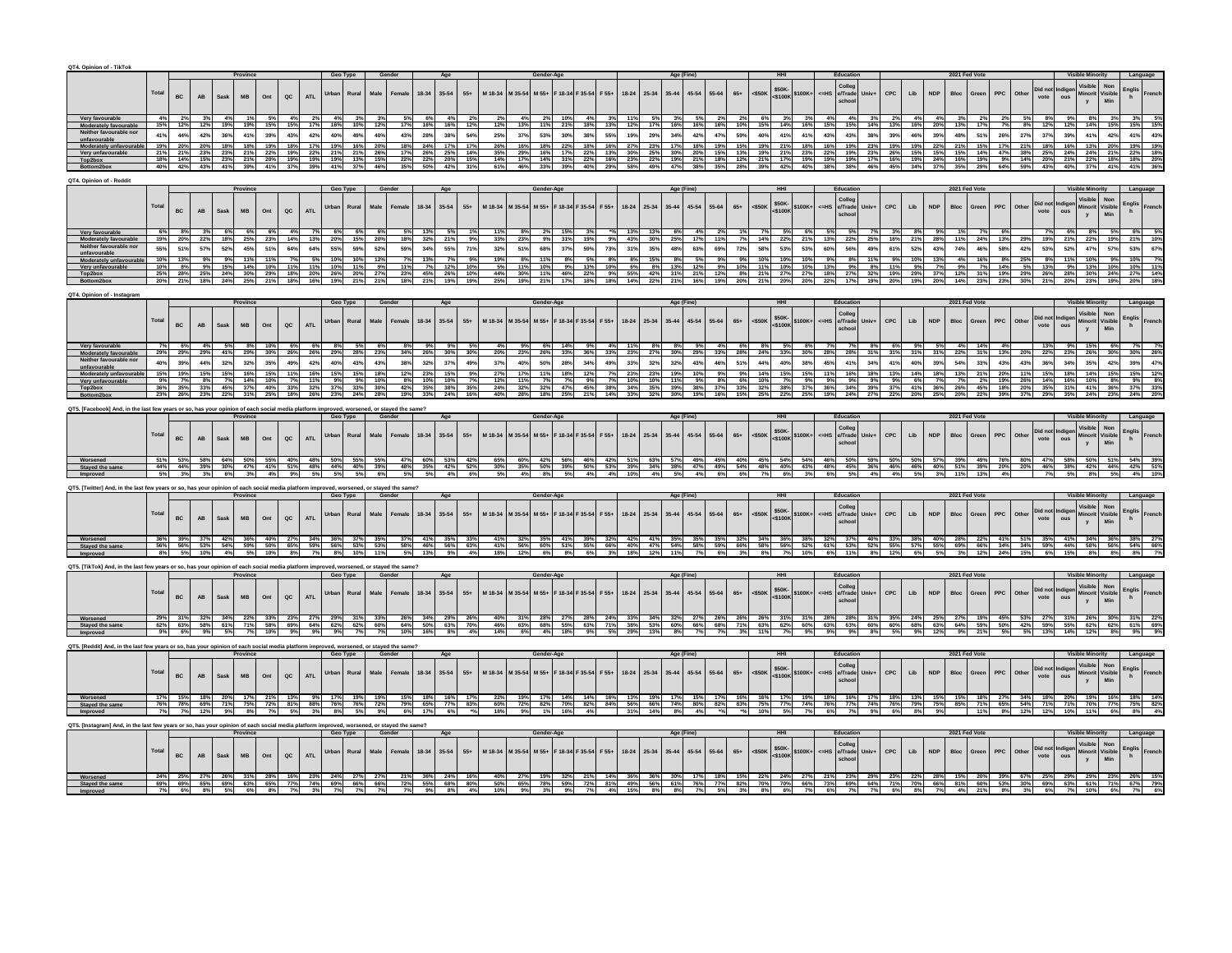| QT4. Opinion of - TikTok                                                                                                                 |              |             |                        |                            |                                   |                                                              |             |             |                  |            |                                                                                                                                                                                                                   |                      |                    |                 |            |            |                    |                                                                                                                                                                                                                                     |             |                    |                          |                                       |                    |                                |                                 |                     |                                                                                                                                   |                                                                                                                                                                                                                                                                                                                                                                                                                                                             |             |                                    |               |       |                         |                 |                             |                                                                     |                                                                                  |  |
|------------------------------------------------------------------------------------------------------------------------------------------|--------------|-------------|------------------------|----------------------------|-----------------------------------|--------------------------------------------------------------|-------------|-------------|------------------|------------|-------------------------------------------------------------------------------------------------------------------------------------------------------------------------------------------------------------------|----------------------|--------------------|-----------------|------------|------------|--------------------|-------------------------------------------------------------------------------------------------------------------------------------------------------------------------------------------------------------------------------------|-------------|--------------------|--------------------------|---------------------------------------|--------------------|--------------------------------|---------------------------------|---------------------|-----------------------------------------------------------------------------------------------------------------------------------|-------------------------------------------------------------------------------------------------------------------------------------------------------------------------------------------------------------------------------------------------------------------------------------------------------------------------------------------------------------------------------------------------------------------------------------------------------------|-------------|------------------------------------|---------------|-------|-------------------------|-----------------|-----------------------------|---------------------------------------------------------------------|----------------------------------------------------------------------------------|--|
|                                                                                                                                          |              |             |                        |                            |                                   |                                                              |             |             |                  |            |                                                                                                                                                                                                                   |                      |                    |                 |            |            |                    |                                                                                                                                                                                                                                     |             |                    |                          |                                       |                    |                                |                                 |                     |                                                                                                                                   |                                                                                                                                                                                                                                                                                                                                                                                                                                                             |             |                                    |               |       |                         |                 |                             |                                                                     |                                                                                  |  |
|                                                                                                                                          | Total        | <b>BC</b>   | AB                     | Sask                       | <b>MB</b>                         | Ont<br>oc.                                                   | <b>ATL</b>  |             |                  | Male       |                                                                                                                                                                                                                   | 18-34                | 35-54<br>$55+$     | M 18-34         | M 35-54    | M 55+      | F 18-34            | $F 55+$<br>F 35-54                                                                                                                                                                                                                  | $18 - 24$   | $25 - 34$          | $35 - 44$<br>45-54       | 55-64                                 | $65+$              | $<$ \$50K                      | \$50K-<br><\$100K \$100K+       |                     | <= HS e/Trade                                                                                                                     | <b>CPC</b><br>Univ+                                                                                                                                                                                                                                                                                                                                                                                                                                         | Lib         |                                    | <b>Bloc</b>   |       | PPC                     | Did not<br>vote | ndige<br>ous                | Minori                                                              | Englis<br>Visible                                                                |  |
|                                                                                                                                          |              |             |                        |                            |                                   |                                                              |             |             |                  |            |                                                                                                                                                                                                                   |                      |                    |                 |            |            |                    |                                                                                                                                                                                                                                     |             |                    |                          |                                       |                    |                                |                                 |                     |                                                                                                                                   |                                                                                                                                                                                                                                                                                                                                                                                                                                                             |             |                                    |               |       |                         |                 |                             |                                                                     |                                                                                  |  |
| Very favourabl                                                                                                                           |              | 2%          | 3%                     | 4%<br>19% 19% 15%          | 1%                                | 5%<br>4%                                                     | 2%          | 4%          | 3%               | 3%         |                                                                                                                                                                                                                   | 6%                   | 4%                 | - 2%            |            |            |                    |                                                                                                                                                                                                                                     |             |                    | 3%<br>5%                 | 2%                                    | 2%                 | 6%                             | 3%<br>3%                        | 4%                  | 4%                                                                                                                                | 2%                                                                                                                                                                                                                                                                                                                                                                                                                                                          |             | 4%                                 | 3%            |       |                         |                 |                             |                                                                     |                                                                                  |  |
|                                                                                                                                          | 41%          | 44%         | 42%                    | 36%                        | 41%                               | 39%<br>43%                                                   | 42%         | 40%         | 49%              | 40%        | 43%                                                                                                                                                                                                               | 28%                  | 38%<br>54%         | 25%             | 37%        | 53%        |                    |                                                                                                                                                                                                                                     |             | 29%                | 34%<br>42%<br>18%        | 47%                                   | 59%<br>15%         | 40%<br>19%                     | $\frac{41\%}{21\%}$<br>41%      | $\frac{43\%}{16\%}$ | 43%                                                                                                                               | 38%<br>39%                                                                                                                                                                                                                                                                                                                                                                                                                                                  | 46%         | 39%                                | 48%           | 51%   | 26%                     |                 |                             |                                                                     |                                                                                  |  |
| Very unfavou                                                                                                                             |              |             |                        |                            |                                   |                                                              |             |             |                  |            |                                                                                                                                                                                                                   |                      |                    |                 |            |            |                    |                                                                                                                                                                                                                                     |             |                    | 20%                      |                                       |                    |                                |                                 |                     |                                                                                                                                   |                                                                                                                                                                                                                                                                                                                                                                                                                                                             |             |                                    |               |       |                         |                 |                             |                                                                     |                                                                                  |  |
|                                                                                                                                          | 40%          | 14%<br>42%  | 43%                    | 41%                        | 39%                               | 15% 23% 21% 20% 19% 19% 19% 13%                              |             |             |                  | 15%        |                                                                                                                                                                                                                   | 22%<br>50%           | 20%<br>15%<br>42%  | 14%             | 46%        |            |                    |                                                                                                                                                                                                                                     |             |                    | 19%<br>21%               |                                       | 12%                |                                | 42%                             |                     |                                                                                                                                   |                                                                                                                                                                                                                                                                                                                                                                                                                                                             |             | 19% 24% 16%                        |               |       |                         |                 |                             |                                                                     |                                                                                  |  |
| IT4, Opinion of - Reddi                                                                                                                  |              |             |                        |                            |                                   |                                                              |             |             |                  |            |                                                                                                                                                                                                                   |                      |                    |                 |            |            |                    |                                                                                                                                                                                                                                     |             |                    |                          |                                       |                    |                                |                                 |                     |                                                                                                                                   |                                                                                                                                                                                                                                                                                                                                                                                                                                                             |             |                                    |               |       |                         |                 |                             |                                                                     |                                                                                  |  |
|                                                                                                                                          |              |             |                        |                            | Province                          |                                                              |             | Geo Type    |                  | Gender     |                                                                                                                                                                                                                   |                      |                    |                 |            | Gender-Age |                    |                                                                                                                                                                                                                                     |             |                    | Age (Fine                |                                       |                    |                                |                                 |                     | Education                                                                                                                         |                                                                                                                                                                                                                                                                                                                                                                                                                                                             |             |                                    | 2021 Fed Vo   |       |                         |                 |                             | <b>Visible Minority</b><br>Visible                                  |                                                                                  |  |
|                                                                                                                                          | Total        | $_{\rm BC}$ | <b>AB</b>              | Sask                       | <b>MB</b>                         | $\alpha$<br>Ont                                              | ATL         | Urban       | Rural            | Male       | Female                                                                                                                                                                                                            | $18-34$              | $35 - 54$<br>$55+$ | M 18-34 M 35-54 |            | M 55+      |                    | F 18-34 F 35-54 F 55+                                                                                                                                                                                                               | 18-24 25-34 |                    | 45-54<br>$35 - 44$       | 55-64                                 | $65+$              | $<$ \$50K                      | \$50K-<br><\$100K \$100K+       |                     | Colleg<br><=HS e/Trade Univ+                                                                                                      | CPC                                                                                                                                                                                                                                                                                                                                                                                                                                                         | Lib         | <b>NDP</b>                         | Bloc          | Green | PPC<br>Other            | Did not<br>vote |                             | Minorit                                                             | Non<br>Englis<br>Visible<br>Min                                                  |  |
|                                                                                                                                          |              |             |                        |                            |                                   |                                                              |             |             |                  |            |                                                                                                                                                                                                                   |                      |                    |                 |            |            |                    |                                                                                                                                                                                                                                     |             |                    |                          |                                       |                    |                                |                                 |                     |                                                                                                                                   |                                                                                                                                                                                                                                                                                                                                                                                                                                                             |             |                                    |               |       |                         |                 |                             |                                                                     |                                                                                  |  |
| <b>Moderately favoura</b>                                                                                                                |              |             |                        |                            | 6%                                |                                                              |             | 6%          |                  |            |                                                                                                                                                                                                                   |                      |                    |                 |            |            |                    |                                                                                                                                                                                                                                     |             |                    |                          |                                       |                    | 14%                            | 6%                              |                     | 5%<br>22%                                                                                                                         |                                                                                                                                                                                                                                                                                                                                                                                                                                                             |             |                                    |               |       |                         |                 |                             |                                                                     |                                                                                  |  |
|                                                                                                                                          | 55%          | 51%         | 57%                    | 52%                        | 45%                               | 51%<br>64%                                                   | 64%         | 55%         | 59%              | 52%        | 59%                                                                                                                                                                                                               | 34%                  | 55%                | 32%             | 51%        | 68%        | 37%                | 59%<br>73%                                                                                                                                                                                                                          | 31%         | 35%                | 63%<br>48%               | 69%                                   | 72%                | 58%                            | 53%<br>53%                      | 60%                 | 56%                                                                                                                               | 49%<br>61%                                                                                                                                                                                                                                                                                                                                                                                                                                                  | 52%         | 43%                                | 74%           | 46%   | 58%                     | 42%             | 53%<br>52%                  |                                                                     | 57%                                                                              |  |
|                                                                                                                                          |              |             |                        | 15%                        | 14%                               | 10%                                                          |             |             |                  |            | 11%                                                                                                                                                                                                               |                      |                    |                 | 11%        |            |                    |                                                                                                                                                                                                                                     |             | 8%                 | 12%                      |                                       |                    |                                |                                 |                     |                                                                                                                                   |                                                                                                                                                                                                                                                                                                                                                                                                                                                             |             |                                    |               |       |                         |                 |                             | 9% 13% 10%                                                          |                                                                                  |  |
|                                                                                                                                          |              |             |                        |                            |                                   |                                                              |             |             |                  |            |                                                                                                                                                                                                                   |                      |                    |                 |            |            |                    |                                                                                                                                                                                                                                     |             |                    |                          |                                       |                    |                                |                                 |                     |                                                                                                                                   |                                                                                                                                                                                                                                                                                                                                                                                                                                                             |             |                                    |               |       |                         |                 |                             |                                                                     |                                                                                  |  |
|                                                                                                                                          |              |             |                        |                            |                                   |                                                              |             |             |                  |            |                                                                                                                                                                                                                   |                      |                    |                 |            |            |                    |                                                                                                                                                                                                                                     |             |                    |                          |                                       |                    |                                |                                 |                     |                                                                                                                                   |                                                                                                                                                                                                                                                                                                                                                                                                                                                             |             |                                    |               |       |                         |                 |                             |                                                                     |                                                                                  |  |
| T4. Opinion of - Instagram                                                                                                               |              |             |                        |                            | Province                          |                                                              |             | Geo Type    |                  | Gender     |                                                                                                                                                                                                                   | Age                  |                    |                 |            | Gender-Age |                    |                                                                                                                                                                                                                                     |             |                    | Age (Fine)               |                                       |                    |                                |                                 |                     |                                                                                                                                   |                                                                                                                                                                                                                                                                                                                                                                                                                                                             |             |                                    | 2021 Fed Vote |       |                         |                 |                             |                                                                     |                                                                                  |  |
|                                                                                                                                          | <b>Total</b> |             |                        |                            |                                   |                                                              |             | Urban       | Rural            | Male       |                                                                                                                                                                                                                   | 18-34                | $35 - 54$<br>$55+$ | M 18-34 M 35-54 |            | M 55+      | F 18-34            | F 35-54<br>$F 55+$                                                                                                                                                                                                                  | $18 - 24$   | 25-34              | $35 - 44$<br>$45 - 54$   | 55-64                                 | $65+$              | \$50K-<br>$<$ \$50K            | \$100K+                         | $\leq$ HS           | olleg:<br>e/Trade                                                                                                                 | CPC<br>Univ+                                                                                                                                                                                                                                                                                                                                                                                                                                                | Lib         | <b>NDP</b>                         | Bloc          |       | ${\sf PPC}$<br>Other    | Did not         | ndiger<br>ous               | Minori                                                              | $\begin{array}{c}\n\text{English} \\ \text{h}\n\end{array}$                      |  |
|                                                                                                                                          |              | BC          | $\mathbf{A}\mathbf{B}$ | Sask                       | MB                                | Ont<br>QC                                                    | <b>ATL</b>  |             |                  |            |                                                                                                                                                                                                                   |                      |                    |                 |            |            |                    |                                                                                                                                                                                                                                     |             |                    |                          |                                       |                    | $<$ \$100K                     |                                 |                     |                                                                                                                                   |                                                                                                                                                                                                                                                                                                                                                                                                                                                             |             |                                    |               |       |                         | vote            |                             | y                                                                   | Visible<br>Min                                                                   |  |
|                                                                                                                                          |              |             |                        |                            |                                   |                                                              |             |             |                  |            |                                                                                                                                                                                                                   |                      |                    |                 |            |            |                    |                                                                                                                                                                                                                                     |             |                    |                          |                                       |                    |                                |                                 |                     |                                                                                                                                   |                                                                                                                                                                                                                                                                                                                                                                                                                                                             |             |                                    |               |       |                         |                 |                             |                                                                     |                                                                                  |  |
|                                                                                                                                          | 40%          | 39%         | 44%                    | 41%<br>32%                 | 32%                               | 35%<br>49%                                                   | 42%         | 40%         | 43%              | 43%        | 38%                                                                                                                                                                                                               | 26%<br>32%           | 37%<br>49%         | 20%<br>37%      | 23%<br>40% | 26%<br>50% | 28%                | 36%<br>33%<br>34%<br>49%                                                                                                                                                                                                            | 23%<br>33%  | 27%<br>32%         | 30%<br>29%<br>43%<br>32% | 33%<br>46%                            | 28%<br>51%         | 24%<br>44%                     | 33%<br>30%<br>40%<br>38%        | 28%<br>45%          | 28%<br>41%                                                                                                                        | 34%<br>41%                                                                                                                                                                                                                                                                                                                                                                                                                                                  | 40%         | 31% 31% 22%<br>39%                 | 54%           | 33%   | 43%                     | 43%             | 36%                         |                                                                     |                                                                                  |  |
| Moderately unfavourabl                                                                                                                   |              |             |                        |                            |                                   |                                                              |             |             |                  |            |                                                                                                                                                                                                                   |                      |                    |                 |            |            |                    |                                                                                                                                                                                                                                     |             |                    |                          |                                       |                    |                                |                                 |                     |                                                                                                                                   |                                                                                                                                                                                                                                                                                                                                                                                                                                                             |             |                                    |               |       |                         |                 |                             |                                                                     |                                                                                  |  |
| Very unfavoura<br>Top2box                                                                                                                |              |             | 33%                    |                            | 14%<br>37%                        | 33%                                                          | 32%         | 37%         | 33%              | 30%        | 42%                                                                                                                                                                                                               | 10%<br>35%           | 38%<br>35%         | 12%<br>24%      | 32%        | 32%        |                    |                                                                                                                                                                                                                                     |             |                    | 39%<br>38%               |                                       |                    |                                |                                 |                     |                                                                                                                                   |                                                                                                                                                                                                                                                                                                                                                                                                                                                             |             |                                    | 26%           |       | 18%                     | 20%             |                             |                                                                     |                                                                                  |  |
|                                                                                                                                          |              |             |                        |                            |                                   | 22% 31% 25% 18% 26% 23% 24% 28%                              |             |             |                  |            | 19% 33% 24% 16%                                                                                                                                                                                                   |                      |                    |                 |            |            |                    |                                                                                                                                                                                                                                     |             |                    |                          |                                       |                    |                                |                                 |                     |                                                                                                                                   |                                                                                                                                                                                                                                                                                                                                                                                                                                                             |             |                                    |               |       |                         |                 |                             |                                                                     |                                                                                  |  |
| QT5. [Facebook] And, in the last few years or so, has your opinion of each social media platform improved, worsened, or stayed the same? |              |             |                        |                            | Province                          |                                                              |             |             | Geo Type Gender  |            |                                                                                                                                                                                                                   |                      |                    |                 |            |            |                    |                                                                                                                                                                                                                                     |             |                    |                          |                                       |                    |                                |                                 |                     |                                                                                                                                   |                                                                                                                                                                                                                                                                                                                                                                                                                                                             |             |                                    |               |       |                         |                 |                             |                                                                     |                                                                                  |  |
|                                                                                                                                          |              |             |                        |                            |                                   |                                                              |             |             |                  |            |                                                                                                                                                                                                                   |                      |                    |                 |            |            |                    |                                                                                                                                                                                                                                     |             |                    |                          |                                       |                    |                                |                                 |                     |                                                                                                                                   | $\begin{array}{ c c c c c c c c c } \hline & & & & & & & & \\ \hline & 100K+ & & & & & & & \\ \hline & & 100K+ & & & & & & \\ \hline & & & & & & & & \\ \hline & & & & & & & & \\ \hline & & & & & & & & \\ \hline & & & & & & & & \\ \hline & & & & & & & & \\ \hline & & & & & & & & \\ \hline & & & & & & & & \\ \hline & & & & & & & & & \\ \hline & & & & & & & & & \\ \hline & & & & & & & & & \\ \hline & & & & & & & & & \\ \hline & & & & & & & &$ |             |                                    |               |       |                         |                 |                             |                                                                     |                                                                                  |  |
|                                                                                                                                          | Total        | BC          | $\mathsf{A}\mathsf{B}$ | Sask                       | MB                                | Ont<br>$\overline{\text{ac}}$                                | ATL         |             | Urban Rural Male |            | Female                                                                                                                                                                                                            |                      |                    |                 |            |            |                    | 18-34 35-54 55+ M 18-34 M 35-54 M 55+ F 18-34 F 35-54 F 55+ 18-24 25-34 35-44 45-54 55-64                                                                                                                                           |             |                    |                          |                                       | $65+$              | $<$ \$50K                      |                                 |                     | school                                                                                                                            |                                                                                                                                                                                                                                                                                                                                                                                                                                                             |             | $\ensuremath{\mathsf{NDP}}\xspace$ | Bloc Green    |       | ${\sf PPC}$<br>Other    | Did not<br>vote |                             | Visible<br>Minorit Visible<br>y Min                                 |                                                                                  |  |
|                                                                                                                                          |              |             |                        |                            |                                   |                                                              |             |             |                  |            |                                                                                                                                                                                                                   |                      | 47% 60% 53% 42%    |                 |            |            |                    | 60%   42%   56%   46%   42%   51%   53%   57%   49%   45%   40%   45%   54%   54%   46%   50%                                                                                                                                       |             |                    |                          |                                       |                    |                                |                                 |                     |                                                                                                                                   |                                                                                                                                                                                                                                                                                                                                                                                                                                                             |             |                                    |               |       |                         |                 |                             |                                                                     |                                                                                  |  |
| Staved the sam                                                                                                                           | 44%          | 44%         | 39%                    |                            |                                   | 30% 47% 41% 51% 48% 44% 40% 39%<br>6% 3% 4% 9% 5% 5% 5% 6%   |             |             |                  |            | 48% 35% 42% 52%                                                                                                                                                                                                   |                      |                    | 30%             | 35%        | 50%        | 39%                | 50% 53% 39% 34% 38%<br>4% 4% 10% 4% 5%                                                                                                                                                                                              |             |                    |                          | $\frac{47\%}{4\%}$ $\frac{49\%}{6\%}$ | $\frac{54\%}{6\%}$ | $\frac{48\%}{7\%}$             |                                 |                     |                                                                                                                                   | 40% 43% 48% 45% 36% 46%<br>6% 3% 6% 5% 4% 4%                                                                                                                                                                                                                                                                                                                                                                                                                | 46%         |                                    | 40% 51%       |       |                         |                 | 39% 20% 20% 46% 38%         |                                                                     | 42% 44% 42%                                                                      |  |
|                                                                                                                                          |              |             |                        |                            |                                   |                                                              |             |             |                  |            |                                                                                                                                                                                                                   |                      |                    |                 |            |            |                    |                                                                                                                                                                                                                                     |             |                    |                          |                                       |                    |                                |                                 |                     |                                                                                                                                   |                                                                                                                                                                                                                                                                                                                                                                                                                                                             |             |                                    |               |       |                         |                 |                             |                                                                     |                                                                                  |  |
| QT5. [Twitter] And, in the last few years or so, has your opinion of each social media platform improved, worsened, or stayed the same?  |              |             |                        |                            |                                   |                                                              |             | Geo Type    |                  |            |                                                                                                                                                                                                                   | Age                  |                    |                 |            |            |                    |                                                                                                                                                                                                                                     |             |                    | Age (Fine)               |                                       |                    |                                |                                 |                     |                                                                                                                                   |                                                                                                                                                                                                                                                                                                                                                                                                                                                             |             |                                    |               |       |                         |                 |                             |                                                                     |                                                                                  |  |
|                                                                                                                                          | Total        |             |                        |                            |                                   |                                                              |             |             |                  |            |                                                                                                                                                                                                                   | 18-34 35-54          | $55+$              |                 |            |            |                    | M 18-34 M 35-54 M 55+ F 18-34 F 35-54 F 55+ 18-24 25-34 35-44 45-54 55-64 65+                                                                                                                                                       |             |                    |                          |                                       |                    | $<$ \$50K                      |                                 |                     | $\xi_{50K}$<br>$\xi_{100K}$<br>$\xi_{100K+}$<br>$\xi_{100K+}$<br>$\xi_{100K+}$<br>$\xi_{100K+}$<br>$\xi_{100K+}$<br>$\xi_{100K+}$ |                                                                                                                                                                                                                                                                                                                                                                                                                                                             | CPC Lib     | NDP                                | Bloc Green    |       | ${\sf PPC}$<br>Other    | Did not         |                             |                                                                     | $\begin{array}{c} \mathsf{English} \\ \mathsf{h} \end{array}$                    |  |
|                                                                                                                                          |              | BC          | AB                     | Sask                       | MB                                | Ont<br>$_{\alpha c}$                                         | ATL         | Urban Rural |                  | Male       | $\qquad \qquad \textbf{Female} \\$                                                                                                                                                                                |                      |                    |                 |            |            |                    |                                                                                                                                                                                                                                     |             |                    |                          |                                       |                    |                                |                                 |                     |                                                                                                                                   |                                                                                                                                                                                                                                                                                                                                                                                                                                                             |             |                                    |               |       |                         | vote            | Indiger<br>ous              | Visible<br>Minorit Visible<br>y Min                                 |                                                                                  |  |
|                                                                                                                                          |              |             |                        |                            |                                   |                                                              |             |             |                  |            |                                                                                                                                                                                                                   |                      |                    |                 |            |            |                    |                                                                                                                                                                                                                                     |             |                    |                          |                                       |                    |                                |                                 |                     |                                                                                                                                   |                                                                                                                                                                                                                                                                                                                                                                                                                                                             |             |                                    |               |       |                         |                 |                             |                                                                     |                                                                                  |  |
| Stayed the sar                                                                                                                           | 56%          |             |                        |                            |                                   |                                                              |             |             |                  |            |                                                                                                                                                                                                                   |                      |                    |                 |            |            |                    |                                                                                                                                                                                                                                     |             |                    |                          |                                       |                    |                                |                                 |                     |                                                                                                                                   |                                                                                                                                                                                                                                                                                                                                                                                                                                                             |             |                                    |               |       |                         |                 |                             | 66% 34% 34% 59% 44% 58% 56% 54%                                     |                                                                                  |  |
|                                                                                                                                          |              |             |                        |                            |                                   |                                                              |             |             |                  |            | 39%  37%  42%  36%  40%  27%  34%  36%  37%  35%  37%  41%  35%  33% <br>  56%  53%  54%  59%  50%  65%  59%  56%  53%  53%  53%  46%  56%  66% <br>  5%  10%  4%  5%  10%  8%  7%  8%  10%  11%  5%  13%  9%  4% |                      |                    | 41%             |            |            |                    | . 32% 35% 41% 39% 32% 42% 42% 61% 35% 35% 35% 35% 32% 34% 36% 38% 38% 38% 32% 37% 40% 33%<br>56% 60% 51% 55% 55% 66% 40% 47% 54% 56% 56% 66% 66% 56% 56% 4. 32% 1. 38% 35% 53% 53% 53%<br>12% 6% 5% 6% 6% 6% 1. 3% 1. 36% 1. 25% 1. |             |                    |                          |                                       |                    |                                |                                 |                     |                                                                                                                                   |                                                                                                                                                                                                                                                                                                                                                                                                                                                             | 57%         | 55%<br>5%                          | 69%           |       |                         |                 |                             |                                                                     |                                                                                  |  |
| QT5. [TikTok] And, in the last few years or so, has your opinion of each social media platform improved, worse                           |              |             |                        |                            |                                   |                                                              |             |             |                  |            |                                                                                                                                                                                                                   |                      |                    |                 |            |            |                    |                                                                                                                                                                                                                                     |             |                    |                          |                                       |                    |                                |                                 |                     |                                                                                                                                   |                                                                                                                                                                                                                                                                                                                                                                                                                                                             |             |                                    |               |       |                         |                 |                             |                                                                     |                                                                                  |  |
|                                                                                                                                          |              |             |                        |                            |                                   |                                                              |             |             | Geo Type Gender  |            |                                                                                                                                                                                                                   |                      |                    |                 |            |            |                    |                                                                                                                                                                                                                                     |             |                    | Age (Fine)               |                                       |                    |                                |                                 |                     | Education                                                                                                                         |                                                                                                                                                                                                                                                                                                                                                                                                                                                             |             |                                    | 2021 Fed Vote |       |                         |                 |                             |                                                                     |                                                                                  |  |
|                                                                                                                                          | Total        |             |                        |                            |                                   |                                                              |             | Urban       | Rural            | Male       | Female                                                                                                                                                                                                            | $35 - 54$<br>$18-34$ | $55+$              |                 |            |            |                    | M 18-34 M 35-54 M 55+ F 18-34 F 35-54 F 55+                                                                                                                                                                                         | $18 - 24$   | 25-34              | $45 - 54$<br>35-44       | 55-64                                 | $65\texttt{+}$     |                                |                                 |                     | Colleg<br><=HS e/Trade                                                                                                            | Univ+                                                                                                                                                                                                                                                                                                                                                                                                                                                       | $CPC$ $Lib$ | $\ensuremath{\mathsf{NDP}}\xspace$ |               |       | ${\sf PPC}$<br>Other    |                 |                             | Visible<br>Minorit                                                  |                                                                                  |  |
|                                                                                                                                          |              | $_{\rm BC}$ | $\mathbf{A}\mathbf{B}$ | Sask                       | MB                                | Ont<br>$_{\sf AC}$                                           | ATL         |             |                  |            |                                                                                                                                                                                                                   |                      |                    |                 |            |            |                    |                                                                                                                                                                                                                                     |             |                    |                          |                                       |                    |                                | <\$50K \$50K-<br><\$50K \$100K+ |                     | school                                                                                                                            |                                                                                                                                                                                                                                                                                                                                                                                                                                                             |             |                                    | Bloc Green    |       |                         |                 | Did not Indiger<br>vote ous |                                                                     | Non<br>Visible<br>Min<br>$\begin{array}{c}\text{English} \\ \text{h}\end{array}$ |  |
|                                                                                                                                          |              |             |                        |                            |                                   | 34% 22% 33% 23% 27% 29% 31% 33%                              |             |             |                  |            | 26% 34% 29% 26%                                                                                                                                                                                                   |                      |                    |                 | 31% 28%    |            | 27% 28%            | 24%                                                                                                                                                                                                                                 |             | 33% 34% 32%        |                          | 27% 26%                               |                    |                                |                                 |                     |                                                                                                                                   | 26% 26% 31% 31% 28% 28% 31% 35%                                                                                                                                                                                                                                                                                                                                                                                                                             |             |                                    |               |       | 24% 25% 27% 19% 45% 53% |                 |                             |                                                                     |                                                                                  |  |
|                                                                                                                                          |              | 63%         | 58%                    | 5%                         |                                   | 61% 71% 58% 69% 64% 62% 62% 60% 64% 50% 63% 70%<br>10%<br>9% | 9%          | 9%          | 7%               |            | 10%                                                                                                                                                                                                               | 16%                  | 8%<br>4%           | 46%<br>14%      | 63%<br>6%  | 68%<br>4%  | 55%<br>18%         | 63%<br>71%<br>9%<br>5%                                                                                                                                                                                                              | 29%         | 38% 53% 60%<br>13% | 66%<br>8%<br>7%          | 68%                                   | 71%<br>3%          | 63%<br>11%                     | 7%<br>9%                        | 9%                  | 9%                                                                                                                                | 8%<br>5%                                                                                                                                                                                                                                                                                                                                                                                                                                                    | 9%          | 12%                                | 9%            |       |                         |                 |                             | 62% 60% 63% 63% 60% 60% 68% 63% 64% 59% 50% 42% 59% 55% 62% 62% 61% |                                                                                  |  |
| QT5. [Reddit] And, in the last few years or so, has your opinion of each social media platform improved, worsened, or stayed the same?   |              |             |                        |                            |                                   |                                                              |             |             |                  |            |                                                                                                                                                                                                                   |                      |                    |                 |            |            |                    |                                                                                                                                                                                                                                     |             |                    |                          |                                       |                    |                                |                                 |                     |                                                                                                                                   |                                                                                                                                                                                                                                                                                                                                                                                                                                                             |             |                                    |               |       |                         |                 |                             |                                                                     |                                                                                  |  |
|                                                                                                                                          |              |             |                        |                            |                                   |                                                              |             |             |                  | Gender     |                                                                                                                                                                                                                   |                      |                    |                 |            |            |                    |                                                                                                                                                                                                                                     |             |                    |                          |                                       |                    |                                |                                 |                     |                                                                                                                                   |                                                                                                                                                                                                                                                                                                                                                                                                                                                             |             |                                    |               |       |                         |                 |                             |                                                                     |                                                                                  |  |
|                                                                                                                                          |              | $_{\rm BC}$ | AB                     | Sask                       | $\ensuremath{\mathsf{MB}}\xspace$ | $_{\alpha c}$                                                | <b>ATL</b>  | Urban       | Rural            | Male       | $\qquad \qquad \textbf{Female} \\$                                                                                                                                                                                | $18 - 34$            | $35 - 54$<br>$55+$ | M 18-34         | M 35-54    | M 55+      | F 18-34<br>F 35-54 | $F 55+$                                                                                                                                                                                                                             | $18 - 24$   | $25 - 34$          | $35 - 44$<br>45-54       | 55-64                                 | $65+$              | $<$ \$50K                      | \$50K-<br><\$100K \$100K+       |                     | Colleg<br>EHS e/Trade                                                                                                             | Univ+                                                                                                                                                                                                                                                                                                                                                                                                                                                       | CPC Lib     | <b>NDP</b>                         | Bloc Green    |       | ${\sf PPC}$<br>Other    |                 | Did not Indiger<br>vote ous | <b>Visible</b><br>Minorit                                           | $\begin{array}{c}\n\text{English} \\ \text{h}\n\end{array}$                      |  |
|                                                                                                                                          |              |             |                        |                            |                                   | $_{\text{Ont}}$                                              |             |             |                  |            |                                                                                                                                                                                                                   |                      |                    |                 |            |            |                    |                                                                                                                                                                                                                                     |             |                    |                          |                                       |                    |                                |                                 |                     |                                                                                                                                   |                                                                                                                                                                                                                                                                                                                                                                                                                                                             |             |                                    |               |       |                         |                 |                             |                                                                     | Non<br>Visible<br>Min                                                            |  |
| Worsened<br>Stayed the sa                                                                                                                |              | 78%         | 69%                    | 20% 17%<br>71%             | 75%                               | 81%<br>72%                                                   | 9%  <br>88% | 76% 76%     | 17% 19%          | 19%<br>72% | 15% 18% 16%<br>79%                                                                                                                                                                                                | 65%                  | <b>77%</b><br>83%  | 60%             | 72%        | 82%        | 70%                | 14%<br>16%<br>82%                                                                                                                                                                                                                   | 13%<br>56%  | 19%<br>66%         | 17%<br>15%<br>74%<br>80% | 82%                                   | 16%<br>83%         | 16%<br>75%                     | 17% 19%<br>77%<br>74%           | 18%<br>76%          | 16%<br>77%                                                                                                                        | 18%<br>74%<br>76%                                                                                                                                                                                                                                                                                                                                                                                                                                           | 79%         | 75%                                | 15%<br>85%    |       |                         |                 | 18% 27% 34% 18% 20%         | 70% 77%                                                             | 75%                                                                              |  |
|                                                                                                                                          |              |             |                        |                            |                                   |                                                              |             |             |                  |            |                                                                                                                                                                                                                   | 17%                  |                    |                 |            |            |                    |                                                                                                                                                                                                                                     |             |                    |                          |                                       |                    |                                |                                 |                     |                                                                                                                                   |                                                                                                                                                                                                                                                                                                                                                                                                                                                             |             |                                    |               |       |                         |                 |                             |                                                                     |                                                                                  |  |
| QT5. [Instagram] And, in the last few years or so, has your opinion of each social media platform im                                     |              |             |                        |                            | Province                          |                                                              |             |             | Geo Type         | Gender     |                                                                                                                                                                                                                   |                      |                    |                 |            |            |                    |                                                                                                                                                                                                                                     |             |                    |                          |                                       |                    |                                |                                 |                     |                                                                                                                                   |                                                                                                                                                                                                                                                                                                                                                                                                                                                             |             |                                    | 2021 Fed Vote |       |                         |                 |                             |                                                                     |                                                                                  |  |
|                                                                                                                                          |              |             |                        |                            |                                   |                                                              |             |             |                  |            |                                                                                                                                                                                                                   |                      |                    |                 |            |            |                    |                                                                                                                                                                                                                                     |             |                    |                          |                                       |                    |                                |                                 |                     |                                                                                                                                   |                                                                                                                                                                                                                                                                                                                                                                                                                                                             |             |                                    |               |       |                         |                 |                             |                                                                     |                                                                                  |  |
|                                                                                                                                          | Total        | BC          | $\mathbf{A}\mathbf{B}$ | Sask                       | $\ensuremath{\mathsf{MB}}\xspace$ | Ont<br>$\alpha$                                              | ATL         | Urban       | Rural            | Male       | Female                                                                                                                                                                                                            | $35 - 54$<br>18-34   | $55+$              | M 18-34 M 35-54 |            | M 55+      | $F 18-34$          | F 35-54<br>$F 55+$                                                                                                                                                                                                                  | $18 - 24$   | 25-34              | $45-54$<br>$35 - 44$     | $55 - 64$                             | $65\texttt{+}$     | \$50K-<br><\$100K<br>$<$ \$50K | \$100K+                         |                     | Colleg<br><=HS e/Trade Univ+<br>school                                                                                            | CPC                                                                                                                                                                                                                                                                                                                                                                                                                                                         | Lib         | NDP                                | Bloc Green    |       | ${\sf PPC}$<br>Other    |                 | Did not Indigen<br>vote ous |                                                                     | $\begin{array}{c}\n\text{English} \\ \text{h}\n\end{array}$                      |  |
|                                                                                                                                          |              |             |                        |                            |                                   |                                                              |             |             |                  |            |                                                                                                                                                                                                                   |                      |                    |                 |            |            |                    |                                                                                                                                                                                                                                     |             |                    |                          |                                       |                    |                                |                                 |                     |                                                                                                                                   |                                                                                                                                                                                                                                                                                                                                                                                                                                                             |             |                                    |               |       |                         |                 |                             | Visible<br>Minorit Visible<br>y Min                                 |                                                                                  |  |
| Stayed the sam                                                                                                                           | 69%          |             |                        | 25% 27% 26%<br>69% 65% 69% | 63%                               |                                                              | 74%         |             | 69% 66% 66%      |            |                                                                                                                                                                                                                   |                      |                    |                 |            | 78%        | 59%                |                                                                                                                                                                                                                                     |             | 56%                | 61%<br>76%               |                                       |                    |                                | 70%<br>66%                      | 73%                 | 69%                                                                                                                               | 64%                                                                                                                                                                                                                                                                                                                                                                                                                                                         |             |                                    |               |       |                         |                 |                             |                                                                     |                                                                                  |  |